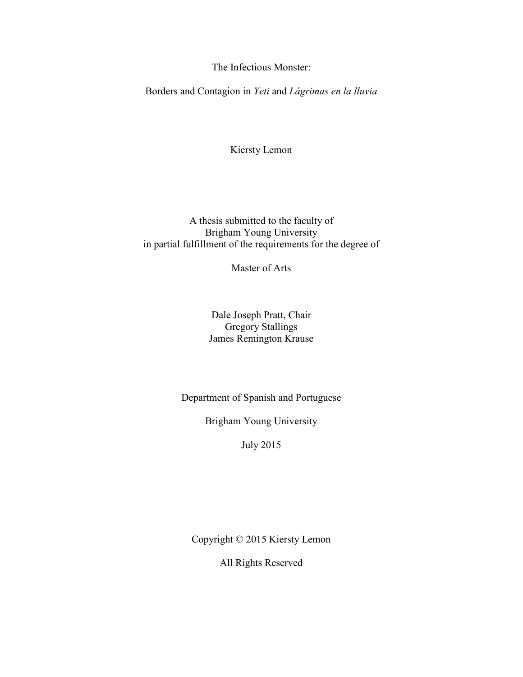The Infectious Monster:

<span id="page-0-0"></span>Borders and Contagion in *Yeti* and *Lágrimas en la lluvia*

Kiersty Lemon

A thesis submitted to the faculty of Brigham Young University in partial fulfillment of the requirements for the degree of

Master of Arts

Dale Joseph Pratt, Chair Gregory Stallings James Remington Krause

Department of Spanish and Portuguese

Brigham Young University

July 2015

<span id="page-0-1"></span>Copyright © 2015 Kiersty Lemon

All Rights Reserved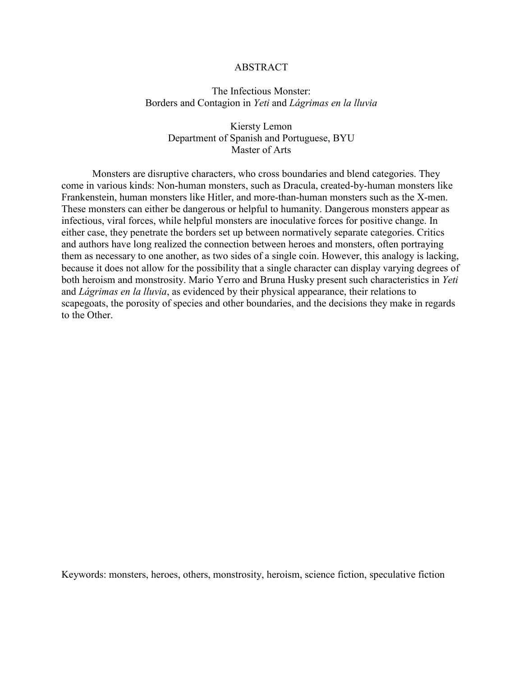#### ABSTRACT

# The Infectious Monster: Borders and Contagion in *Yeti* and *Lágrimas en la lluvia*

# Kiersty Lemon Department of Spanish and Portuguese, BYU Master of Arts

Monsters are disruptive characters, who cross boundaries and blend categories. They come in various kinds: Non-human monsters, such as Dracula, created-by-human monsters like Frankenstein, human monsters like Hitler, and more-than-human monsters such as the X-men. These monsters can either be dangerous or helpful to humanity. Dangerous monsters appear as infectious, viral forces, while helpful monsters are inoculative forces for positive change. In either case, they penetrate the borders set up between normatively separate categories. Critics and authors have long realized the connection between heroes and monsters, often portraying them as necessary to one another, as two sides of a single coin. However, this analogy is lacking, because it does not allow for the possibility that a single character can display varying degrees of both heroism and monstrosity. Mario Yerro and Bruna Husky present such characteristics in *Yeti*  and *Lágrimas en la lluvia*, as evidenced by their physical appearance, their relations to scapegoats, the porosity of species and other boundaries, and the decisions they make in regards to the Other.

Keywords: monsters, heroes, others, monstrosity, heroism, science fiction, speculative fiction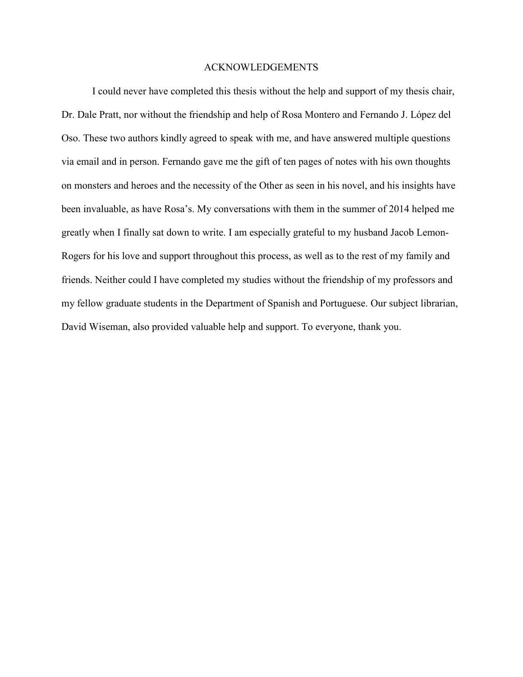#### ACKNOWLEDGEMENTS

<span id="page-2-0"></span>I could never have completed this thesis without the help and support of my thesis chair, Dr. Dale Pratt, nor without the friendship and help of Rosa Montero and Fernando J. López del Oso. These two authors kindly agreed to speak with me, and have answered multiple questions via email and in person. Fernando gave me the gift of ten pages of notes with his own thoughts on monsters and heroes and the necessity of the Other as seen in his novel, and his insights have been invaluable, as have Rosa's. My conversations with them in the summer of 2014 helped me greatly when I finally sat down to write. I am especially grateful to my husband Jacob Lemon-Rogers for his love and support throughout this process, as well as to the rest of my family and friends. Neither could I have completed my studies without the friendship of my professors and my fellow graduate students in the Department of Spanish and Portuguese. Our subject librarian, David Wiseman, also provided valuable help and support. To everyone, thank you.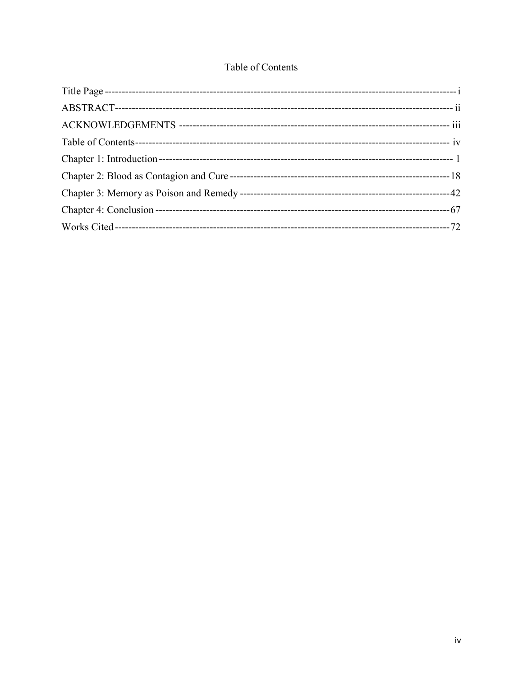# Table of Contents

<span id="page-3-0"></span>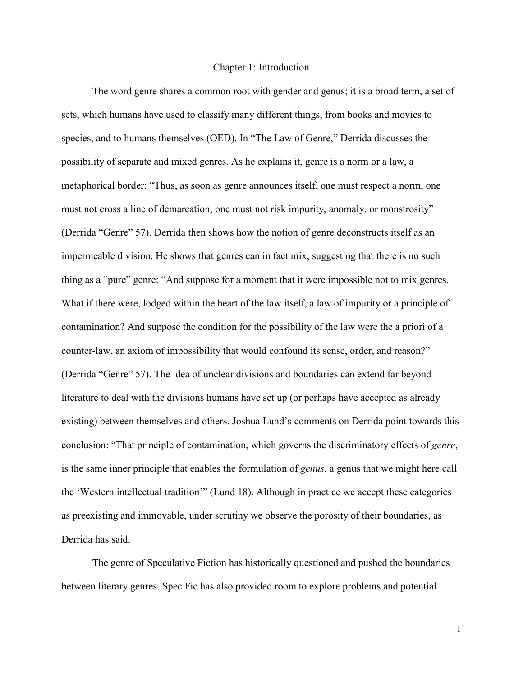#### Chapter 1: Introduction

<span id="page-4-0"></span>The word genre shares a common root with gender and genus; it is a broad term, a set of sets, which humans have used to classify many different things, from books and movies to species, and to humans themselves (OED). In "The Law of Genre," Derrida discusses the possibility of separate and mixed genres. As he explains it, genre is a norm or a law, a metaphorical border: "Thus, as soon as genre announces itself, one must respect a norm, one must not cross a line of demarcation, one must not risk impurity, anomaly, or monstrosity" (Derrida "Genre" 57). Derrida then shows how the notion of genre deconstructs itself as an impermeable division. He shows that genres can in fact mix, suggesting that there is no such thing as a "pure" genre: "And suppose for a moment that it were impossible not to mix genres. What if there were, lodged within the heart of the law itself, a law of impurity or a principle of contamination? And suppose the condition for the possibility of the law were the a priori of a counter-law, an axiom of impossibility that would confound its sense, order, and reason?" (Derrida "Genre" 57). The idea of unclear divisions and boundaries can extend far beyond literature to deal with the divisions humans have set up (or perhaps have accepted as already existing) between themselves and others. Joshua Lund's comments on Derrida point towards this conclusion: "That principle of contamination, which governs the discriminatory effects of *genre*, is the same inner principle that enables the formulation of *genus*, a genus that we might here call the 'Western intellectual tradition'" (Lund 18). Although in practice we accept these categories as preexisting and immovable, under scrutiny we observe the porosity of their boundaries, as Derrida has said.

The genre of Speculative Fiction has historically questioned and pushed the boundaries between literary genres. Spec Fic has also provided room to explore problems and potential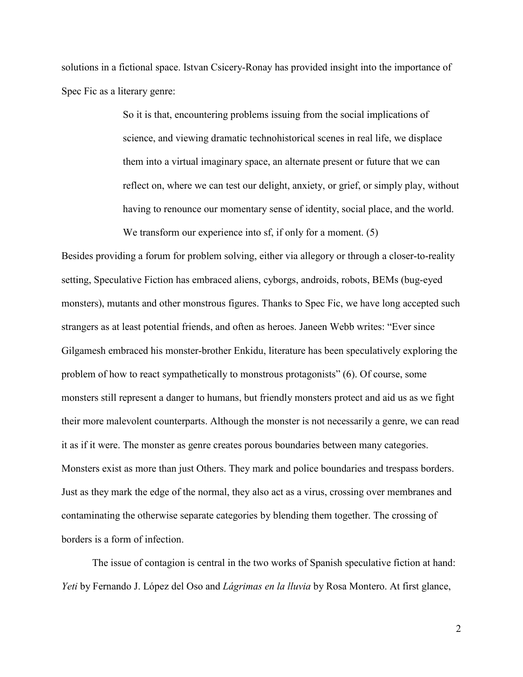solutions in a fictional space. Istvan Csicery-Ronay has provided insight into the importance of Spec Fic as a literary genre:

> So it is that, encountering problems issuing from the social implications of science, and viewing dramatic technohistorical scenes in real life, we displace them into a virtual imaginary space, an alternate present or future that we can reflect on, where we can test our delight, anxiety, or grief, or simply play, without having to renounce our momentary sense of identity, social place, and the world. We transform our experience into sf, if only for a moment. (5)

Besides providing a forum for problem solving, either via allegory or through a closer-to-reality setting, Speculative Fiction has embraced aliens, cyborgs, androids, robots, BEMs (bug-eyed monsters), mutants and other monstrous figures. Thanks to Spec Fic, we have long accepted such strangers as at least potential friends, and often as heroes. Janeen Webb writes: "Ever since Gilgamesh embraced his monster-brother Enkidu, literature has been speculatively exploring the problem of how to react sympathetically to monstrous protagonists" (6). Of course, some monsters still represent a danger to humans, but friendly monsters protect and aid us as we fight their more malevolent counterparts. Although the monster is not necessarily a genre, we can read it as if it were. The monster as genre creates porous boundaries between many categories. Monsters exist as more than just Others. They mark and police boundaries and trespass borders. Just as they mark the edge of the normal, they also act as a virus, crossing over membranes and contaminating the otherwise separate categories by blending them together. The crossing of borders is a form of infection.

The issue of contagion is central in the two works of Spanish speculative fiction at hand: *Yeti* by Fernando J. López del Oso and *Lágrimas en la lluvia* by Rosa Montero. At first glance,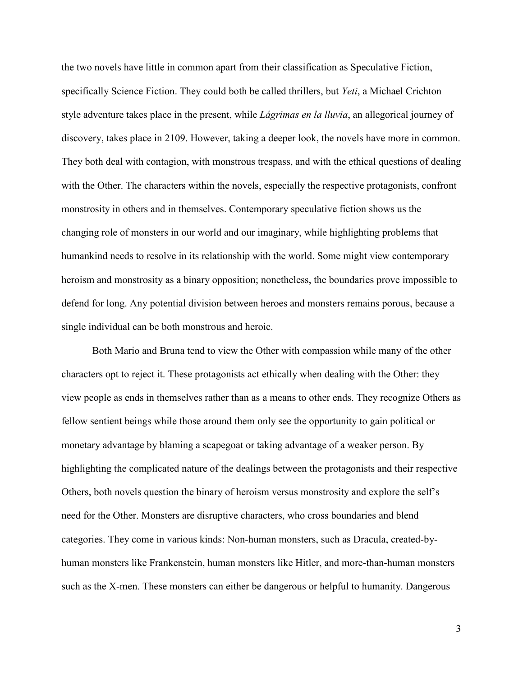the two novels have little in common apart from their classification as Speculative Fiction, specifically Science Fiction. They could both be called thrillers, but *Yeti*, a Michael Crichton style adventure takes place in the present, while *Lágrimas en la lluvia*, an allegorical journey of discovery, takes place in 2109. However, taking a deeper look, the novels have more in common. They both deal with contagion, with monstrous trespass, and with the ethical questions of dealing with the Other. The characters within the novels, especially the respective protagonists, confront monstrosity in others and in themselves. Contemporary speculative fiction shows us the changing role of monsters in our world and our imaginary, while highlighting problems that humankind needs to resolve in its relationship with the world. Some might view contemporary heroism and monstrosity as a binary opposition; nonetheless, the boundaries prove impossible to defend for long. Any potential division between heroes and monsters remains porous, because a single individual can be both monstrous and heroic.

Both Mario and Bruna tend to view the Other with compassion while many of the other characters opt to reject it. These protagonists act ethically when dealing with the Other: they view people as ends in themselves rather than as a means to other ends. They recognize Others as fellow sentient beings while those around them only see the opportunity to gain political or monetary advantage by blaming a scapegoat or taking advantage of a weaker person. By highlighting the complicated nature of the dealings between the protagonists and their respective Others, both novels question the binary of heroism versus monstrosity and explore the self's need for the Other. Monsters are disruptive characters, who cross boundaries and blend categories. They come in various kinds: Non-human monsters, such as Dracula, created-byhuman monsters like Frankenstein, human monsters like Hitler, and more-than-human monsters such as the X-men. These monsters can either be dangerous or helpful to humanity. Dangerous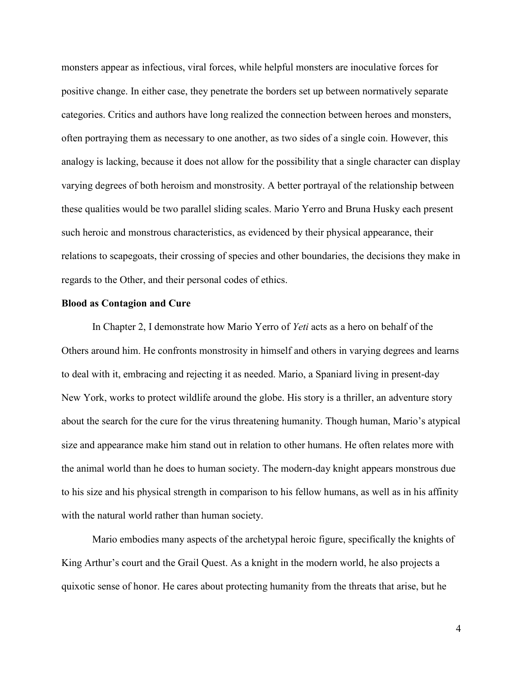monsters appear as infectious, viral forces, while helpful monsters are inoculative forces for positive change. In either case, they penetrate the borders set up between normatively separate categories. Critics and authors have long realized the connection between heroes and monsters, often portraying them as necessary to one another, as two sides of a single coin. However, this analogy is lacking, because it does not allow for the possibility that a single character can display varying degrees of both heroism and monstrosity. A better portrayal of the relationship between these qualities would be two parallel sliding scales. Mario Yerro and Bruna Husky each present such heroic and monstrous characteristics, as evidenced by their physical appearance, their relations to scapegoats, their crossing of species and other boundaries, the decisions they make in regards to the Other, and their personal codes of ethics.

#### **Blood as Contagion and Cure**

In Chapter 2, I demonstrate how Mario Yerro of *Yeti* acts as a hero on behalf of the Others around him. He confronts monstrosity in himself and others in varying degrees and learns to deal with it, embracing and rejecting it as needed. Mario, a Spaniard living in present-day New York, works to protect wildlife around the globe. His story is a thriller, an adventure story about the search for the cure for the virus threatening humanity. Though human, Mario's atypical size and appearance make him stand out in relation to other humans. He often relates more with the animal world than he does to human society. The modern-day knight appears monstrous due to his size and his physical strength in comparison to his fellow humans, as well as in his affinity with the natural world rather than human society.

Mario embodies many aspects of the archetypal heroic figure, specifically the knights of King Arthur's court and the Grail Quest. As a knight in the modern world, he also projects a quixotic sense of honor. He cares about protecting humanity from the threats that arise, but he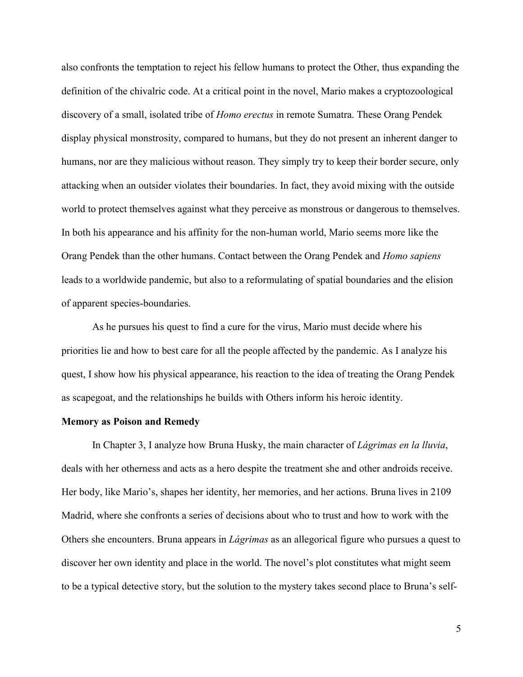also confronts the temptation to reject his fellow humans to protect the Other, thus expanding the definition of the chivalric code. At a critical point in the novel, Mario makes a cryptozoological discovery of a small, isolated tribe of *Homo erectus* in remote Sumatra. These Orang Pendek display physical monstrosity, compared to humans, but they do not present an inherent danger to humans, nor are they malicious without reason. They simply try to keep their border secure, only attacking when an outsider violates their boundaries. In fact, they avoid mixing with the outside world to protect themselves against what they perceive as monstrous or dangerous to themselves. In both his appearance and his affinity for the non-human world, Mario seems more like the Orang Pendek than the other humans. Contact between the Orang Pendek and *Homo sapiens* leads to a worldwide pandemic, but also to a reformulating of spatial boundaries and the elision of apparent species-boundaries.

As he pursues his quest to find a cure for the virus, Mario must decide where his priorities lie and how to best care for all the people affected by the pandemic. As I analyze his quest, I show how his physical appearance, his reaction to the idea of treating the Orang Pendek as scapegoat, and the relationships he builds with Others inform his heroic identity.

#### **Memory as Poison and Remedy**

In Chapter 3, I analyze how Bruna Husky, the main character of *Lágrimas en la lluvia*, deals with her otherness and acts as a hero despite the treatment she and other androids receive. Her body, like Mario's, shapes her identity, her memories, and her actions. Bruna lives in 2109 Madrid, where she confronts a series of decisions about who to trust and how to work with the Others she encounters. Bruna appears in *Lágrimas* as an allegorical figure who pursues a quest to discover her own identity and place in the world. The novel's plot constitutes what might seem to be a typical detective story, but the solution to the mystery takes second place to Bruna's self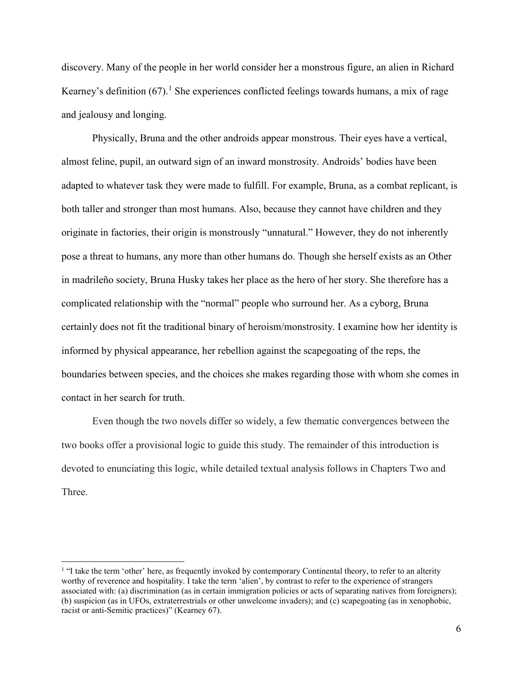discovery. Many of the people in her world consider her a monstrous figure, an alien in Richard Kearney's definition (67).<sup>[1](#page-9-0)</sup> She experiences conflicted feelings towards humans, a mix of rage and jealousy and longing.

Physically, Bruna and the other androids appear monstrous. Their eyes have a vertical, almost feline, pupil, an outward sign of an inward monstrosity. Androids' bodies have been adapted to whatever task they were made to fulfill. For example, Bruna, as a combat replicant, is both taller and stronger than most humans. Also, because they cannot have children and they originate in factories, their origin is monstrously "unnatural." However, they do not inherently pose a threat to humans, any more than other humans do. Though she herself exists as an Other in madrileño society, Bruna Husky takes her place as the hero of her story. She therefore has a complicated relationship with the "normal" people who surround her. As a cyborg, Bruna certainly does not fit the traditional binary of heroism/monstrosity. I examine how her identity is informed by physical appearance, her rebellion against the scapegoating of the reps, the boundaries between species, and the choices she makes regarding those with whom she comes in contact in her search for truth.

Even though the two novels differ so widely, a few thematic convergences between the two books offer a provisional logic to guide this study. The remainder of this introduction is devoted to enunciating this logic, while detailed textual analysis follows in Chapters Two and **Three** 

 $\overline{\phantom{a}}$ 

<span id="page-9-0"></span><sup>&</sup>lt;sup>1</sup> "I take the term 'other' here, as frequently invoked by contemporary Continental theory, to refer to an alterity worthy of reverence and hospitality. I take the term 'alien', by contrast to refer to the experience of strangers associated with: (a) discrimination (as in certain immigration policies or acts of separating natives from foreigners); (b) suspicion (as in UFOs, extraterrestrials or other unwelcome invaders); and (c) scapegoating (as in xenophobic, racist or anti-Semitic practices)" (Kearney 67).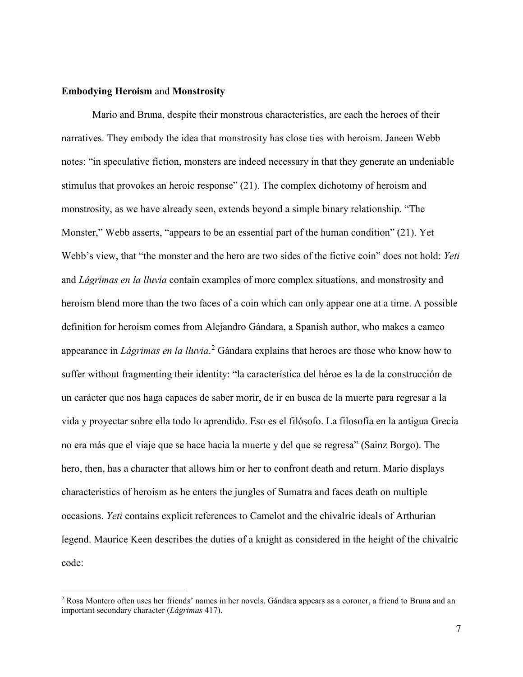### **Embodying Heroism** and **Monstrosity**

l

Mario and Bruna, despite their monstrous characteristics, are each the heroes of their narratives. They embody the idea that monstrosity has close ties with heroism. Janeen Webb notes: "in speculative fiction, monsters are indeed necessary in that they generate an undeniable stimulus that provokes an heroic response" (21). The complex dichotomy of heroism and monstrosity, as we have already seen, extends beyond a simple binary relationship. "The Monster," Webb asserts, "appears to be an essential part of the human condition" (21). Yet Webb's view, that "the monster and the hero are two sides of the fictive coin" does not hold: *Yeti*  and *Lágrimas en la lluvia* contain examples of more complex situations, and monstrosity and heroism blend more than the two faces of a coin which can only appear one at a time. A possible definition for heroism comes from Alejandro Gándara, a Spanish author, who makes a cameo appearance in *Lágrimas en la lluvia*. [2](#page-10-0) Gándara explains that heroes are those who know how to suffer without fragmenting their identity: "la característica del héroe es la de la construcción de un carácter que nos haga capaces de saber morir, de ir en busca de la muerte para regresar a la vida y proyectar sobre ella todo lo aprendido. Eso es el filósofo. La filosofía en la antigua Grecia no era más que el viaje que se hace hacia la muerte y del que se regresa" (Sainz Borgo). The hero, then, has a character that allows him or her to confront death and return. Mario displays characteristics of heroism as he enters the jungles of Sumatra and faces death on multiple occasions. *Yeti* contains explicit references to Camelot and the chivalric ideals of Arthurian legend. Maurice Keen describes the duties of a knight as considered in the height of the chivalric code:

<span id="page-10-0"></span><sup>2</sup> Rosa Montero often uses her friends' names in her novels. Gándara appears as a coroner, a friend to Bruna and an important secondary character (*Lágrimas* 417).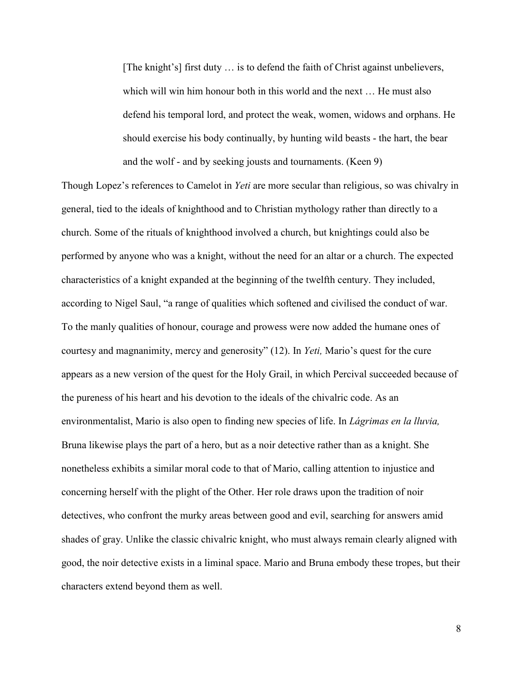[The knight's] first duty … is to defend the faith of Christ against unbelievers, which will win him honour both in this world and the next … He must also defend his temporal lord, and protect the weak, women, widows and orphans. He should exercise his body continually, by hunting wild beasts - the hart, the bear and the wolf - and by seeking jousts and tournaments. (Keen 9)

Though Lopez's references to Camelot in *Yeti* are more secular than religious, so was chivalry in general, tied to the ideals of knighthood and to Christian mythology rather than directly to a church. Some of the rituals of knighthood involved a church, but knightings could also be performed by anyone who was a knight, without the need for an altar or a church. The expected characteristics of a knight expanded at the beginning of the twelfth century. They included, according to Nigel Saul, "a range of qualities which softened and civilised the conduct of war. To the manly qualities of honour, courage and prowess were now added the humane ones of courtesy and magnanimity, mercy and generosity" (12). In *Yeti,* Mario's quest for the cure appears as a new version of the quest for the Holy Grail, in which Percival succeeded because of the pureness of his heart and his devotion to the ideals of the chivalric code. As an environmentalist, Mario is also open to finding new species of life. In *Lágrimas en la lluvia,*  Bruna likewise plays the part of a hero, but as a noir detective rather than as a knight. She nonetheless exhibits a similar moral code to that of Mario, calling attention to injustice and concerning herself with the plight of the Other. Her role draws upon the tradition of noir detectives, who confront the murky areas between good and evil, searching for answers amid shades of gray. Unlike the classic chivalric knight, who must always remain clearly aligned with good, the noir detective exists in a liminal space. Mario and Bruna embody these tropes, but their characters extend beyond them as well.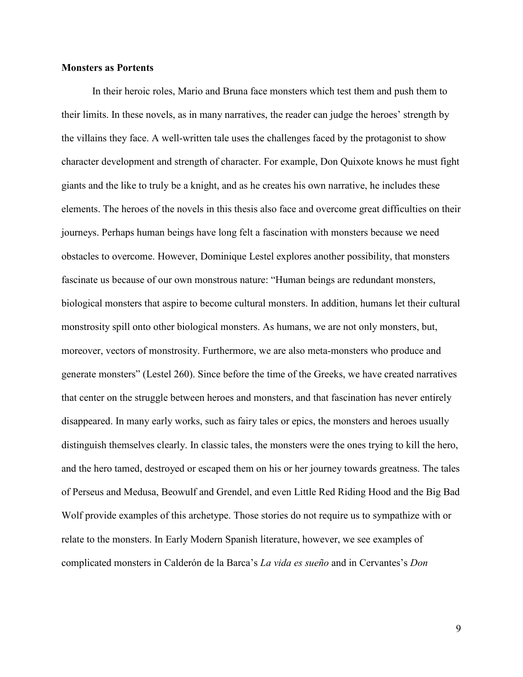### **Monsters as Portents**

In their heroic roles, Mario and Bruna face monsters which test them and push them to their limits. In these novels, as in many narratives, the reader can judge the heroes' strength by the villains they face. A well-written tale uses the challenges faced by the protagonist to show character development and strength of character. For example, Don Quixote knows he must fight giants and the like to truly be a knight, and as he creates his own narrative, he includes these elements. The heroes of the novels in this thesis also face and overcome great difficulties on their journeys. Perhaps human beings have long felt a fascination with monsters because we need obstacles to overcome. However, Dominique Lestel explores another possibility, that monsters fascinate us because of our own monstrous nature: "Human beings are redundant monsters, biological monsters that aspire to become cultural monsters. In addition, humans let their cultural monstrosity spill onto other biological monsters. As humans, we are not only monsters, but, moreover, vectors of monstrosity. Furthermore, we are also meta-monsters who produce and generate monsters" (Lestel 260). Since before the time of the Greeks, we have created narratives that center on the struggle between heroes and monsters, and that fascination has never entirely disappeared. In many early works, such as fairy tales or epics, the monsters and heroes usually distinguish themselves clearly. In classic tales, the monsters were the ones trying to kill the hero, and the hero tamed, destroyed or escaped them on his or her journey towards greatness. The tales of Perseus and Medusa, Beowulf and Grendel, and even Little Red Riding Hood and the Big Bad Wolf provide examples of this archetype. Those stories do not require us to sympathize with or relate to the monsters. In Early Modern Spanish literature, however, we see examples of complicated monsters in Calderón de la Barca's *La vida es sueño* and in Cervantes's *Don*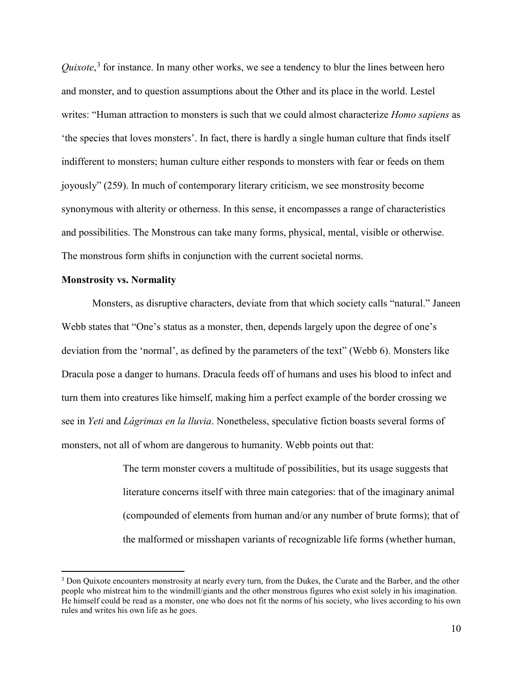Quixote,<sup>[3](#page-13-0)</sup> for instance. In many other works, we see a tendency to blur the lines between hero and monster, and to question assumptions about the Other and its place in the world. Lestel writes: "Human attraction to monsters is such that we could almost characterize *Homo sapiens* as 'the species that loves monsters'. In fact, there is hardly a single human culture that finds itself indifferent to monsters; human culture either responds to monsters with fear or feeds on them joyously" (259). In much of contemporary literary criticism, we see monstrosity become synonymous with alterity or otherness. In this sense, it encompasses a range of characteristics and possibilities. The Monstrous can take many forms, physical, mental, visible or otherwise. The monstrous form shifts in conjunction with the current societal norms.

#### **Monstrosity vs. Normality**

l

Monsters, as disruptive characters, deviate from that which society calls "natural." Janeen Webb states that "One's status as a monster, then, depends largely upon the degree of one's deviation from the 'normal', as defined by the parameters of the text" (Webb 6). Monsters like Dracula pose a danger to humans. Dracula feeds off of humans and uses his blood to infect and turn them into creatures like himself, making him a perfect example of the border crossing we see in *Yeti* and *Lágrimas en la lluvia*. Nonetheless, speculative fiction boasts several forms of monsters, not all of whom are dangerous to humanity. Webb points out that:

> The term monster covers a multitude of possibilities, but its usage suggests that literature concerns itself with three main categories: that of the imaginary animal (compounded of elements from human and/or any number of brute forms); that of the malformed or misshapen variants of recognizable life forms (whether human,

<span id="page-13-0"></span><sup>3</sup> Don Quixote encounters monstrosity at nearly every turn, from the Dukes, the Curate and the Barber, and the other people who mistreat him to the windmill/giants and the other monstrous figures who exist solely in his imagination. He himself could be read as a monster, one who does not fit the norms of his society, who lives according to his own rules and writes his own life as he goes.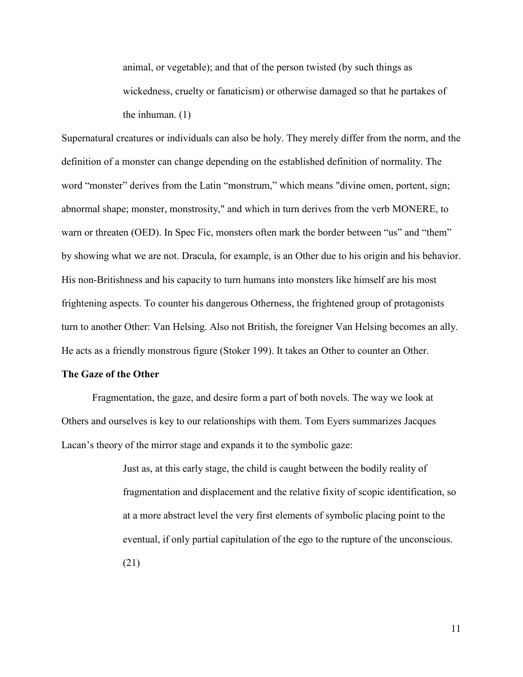animal, or vegetable); and that of the person twisted (by such things as wickedness, cruelty or fanaticism) or otherwise damaged so that he partakes of the inhuman. (1)

Supernatural creatures or individuals can also be holy. They merely differ from the norm, and the definition of a monster can change depending on the established definition of normality. The word "monster" derives from the Latin "monstrum," which means "divine omen, portent, sign; abnormal shape; monster, monstrosity," and which in turn derives from the verb MONERE, to warn or threaten (OED). In Spec Fic, monsters often mark the border between "us" and "them" by showing what we are not. Dracula, for example, is an Other due to his origin and his behavior. His non-Britishness and his capacity to turn humans into monsters like himself are his most frightening aspects. To counter his dangerous Otherness, the frightened group of protagonists turn to another Other: Van Helsing. Also not British, the foreigner Van Helsing becomes an ally. He acts as a friendly monstrous figure (Stoker 199). It takes an Other to counter an Other.

#### **The Gaze of the Other**

Fragmentation, the gaze, and desire form a part of both novels. The way we look at Others and ourselves is key to our relationships with them. Tom Eyers summarizes Jacques Lacan's theory of the mirror stage and expands it to the symbolic gaze:

> Just as, at this early stage, the child is caught between the bodily reality of fragmentation and displacement and the relative fixity of scopic identification, so at a more abstract level the very first elements of symbolic placing point to the eventual, if only partial capitulation of the ego to the rupture of the unconscious. (21)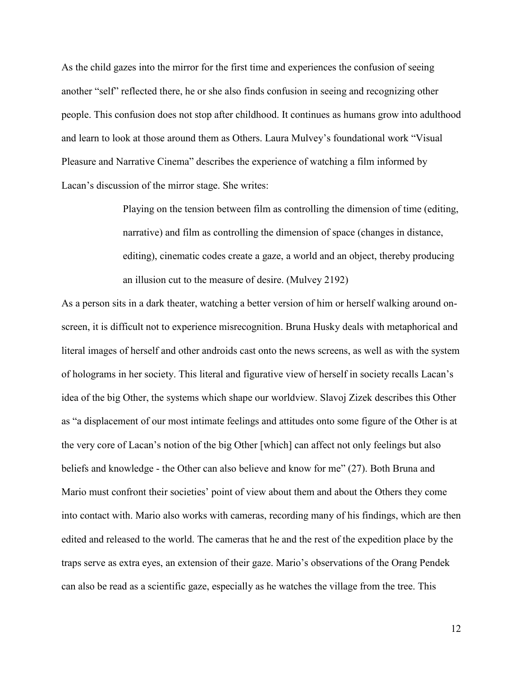As the child gazes into the mirror for the first time and experiences the confusion of seeing another "self" reflected there, he or she also finds confusion in seeing and recognizing other people. This confusion does not stop after childhood. It continues as humans grow into adulthood and learn to look at those around them as Others. Laura Mulvey's foundational work "Visual Pleasure and Narrative Cinema" describes the experience of watching a film informed by Lacan's discussion of the mirror stage. She writes:

> Playing on the tension between film as controlling the dimension of time (editing, narrative) and film as controlling the dimension of space (changes in distance, editing), cinematic codes create a gaze, a world and an object, thereby producing an illusion cut to the measure of desire. (Mulvey 2192)

As a person sits in a dark theater, watching a better version of him or herself walking around onscreen, it is difficult not to experience misrecognition. Bruna Husky deals with metaphorical and literal images of herself and other androids cast onto the news screens, as well as with the system of holograms in her society. This literal and figurative view of herself in society recalls Lacan's idea of the big Other, the systems which shape our worldview. Slavoj Zizek describes this Other as "a displacement of our most intimate feelings and attitudes onto some figure of the Other is at the very core of Lacan's notion of the big Other [which] can affect not only feelings but also beliefs and knowledge - the Other can also believe and know for me" (27). Both Bruna and Mario must confront their societies' point of view about them and about the Others they come into contact with. Mario also works with cameras, recording many of his findings, which are then edited and released to the world. The cameras that he and the rest of the expedition place by the traps serve as extra eyes, an extension of their gaze. Mario's observations of the Orang Pendek can also be read as a scientific gaze, especially as he watches the village from the tree. This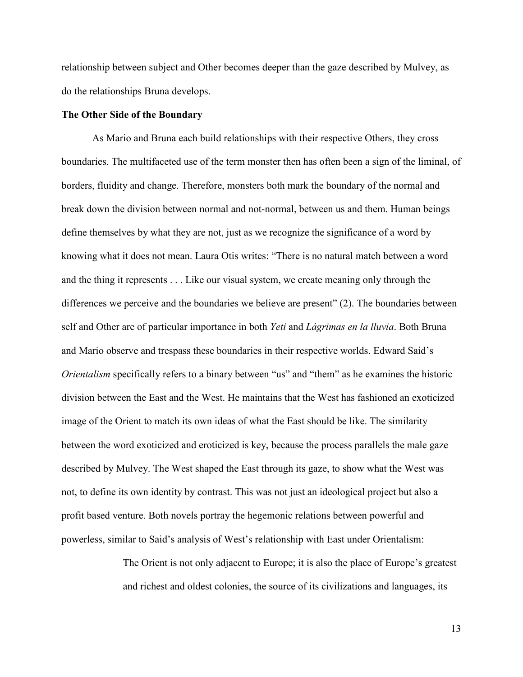relationship between subject and Other becomes deeper than the gaze described by Mulvey, as do the relationships Bruna develops.

## **The Other Side of the Boundary**

As Mario and Bruna each build relationships with their respective Others, they cross boundaries. The multifaceted use of the term monster then has often been a sign of the liminal, of borders, fluidity and change. Therefore, monsters both mark the boundary of the normal and break down the division between normal and not-normal, between us and them. Human beings define themselves by what they are not, just as we recognize the significance of a word by knowing what it does not mean. Laura Otis writes: "There is no natural match between a word and the thing it represents . . . Like our visual system, we create meaning only through the differences we perceive and the boundaries we believe are present" (2). The boundaries between self and Other are of particular importance in both *Yeti* and *Lágrimas en la lluvia*. Both Bruna and Mario observe and trespass these boundaries in their respective worlds. Edward Said's *Orientalism* specifically refers to a binary between "us" and "them" as he examines the historic division between the East and the West. He maintains that the West has fashioned an exoticized image of the Orient to match its own ideas of what the East should be like. The similarity between the word exoticized and eroticized is key, because the process parallels the male gaze described by Mulvey. The West shaped the East through its gaze, to show what the West was not, to define its own identity by contrast. This was not just an ideological project but also a profit based venture. Both novels portray the hegemonic relations between powerful and powerless, similar to Said's analysis of West's relationship with East under Orientalism:

> The Orient is not only adjacent to Europe; it is also the place of Europe's greatest and richest and oldest colonies, the source of its civilizations and languages, its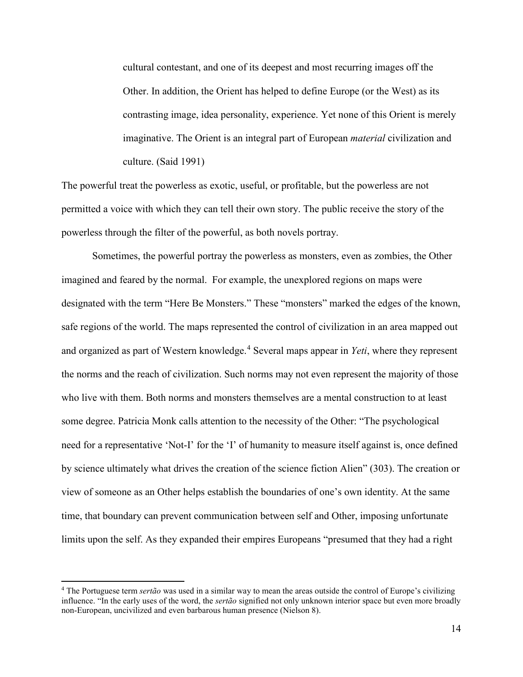cultural contestant, and one of its deepest and most recurring images off the Other. In addition, the Orient has helped to define Europe (or the West) as its contrasting image, idea personality, experience. Yet none of this Orient is merely imaginative. The Orient is an integral part of European *material* civilization and culture. (Said 1991)

The powerful treat the powerless as exotic, useful, or profitable, but the powerless are not permitted a voice with which they can tell their own story. The public receive the story of the powerless through the filter of the powerful, as both novels portray.

Sometimes, the powerful portray the powerless as monsters, even as zombies, the Other imagined and feared by the normal. For example, the unexplored regions on maps were designated with the term "Here Be Monsters." These "monsters" marked the edges of the known, safe regions of the world. The maps represented the control of civilization in an area mapped out and organized as part of Western knowledge.<sup>[4](#page-17-0)</sup> Several maps appear in *Yeti*, where they represent the norms and the reach of civilization. Such norms may not even represent the majority of those who live with them. Both norms and monsters themselves are a mental construction to at least some degree. Patricia Monk calls attention to the necessity of the Other: "The psychological need for a representative 'Not-I' for the 'I' of humanity to measure itself against is, once defined by science ultimately what drives the creation of the science fiction Alien" (303). The creation or view of someone as an Other helps establish the boundaries of one's own identity. At the same time, that boundary can prevent communication between self and Other, imposing unfortunate limits upon the self. As they expanded their empires Europeans "presumed that they had a right

 $\overline{\phantom{a}}$ 

<span id="page-17-0"></span><sup>4</sup> The Portuguese term *sertão* was used in a similar way to mean the areas outside the control of Europe's civilizing influence. "In the early uses of the word, the *sertão* signified not only unknown interior space but even more broadly non-European, uncivilized and even barbarous human presence (Nielson 8).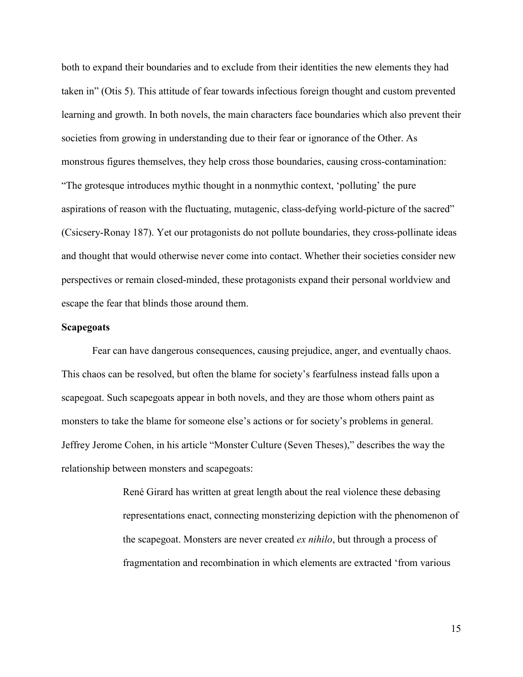both to expand their boundaries and to exclude from their identities the new elements they had taken in" (Otis 5). This attitude of fear towards infectious foreign thought and custom prevented learning and growth. In both novels, the main characters face boundaries which also prevent their societies from growing in understanding due to their fear or ignorance of the Other. As monstrous figures themselves, they help cross those boundaries, causing cross-contamination: "The grotesque introduces mythic thought in a nonmythic context, 'polluting' the pure aspirations of reason with the fluctuating, mutagenic, class-defying world-picture of the sacred" (Csicsery-Ronay 187). Yet our protagonists do not pollute boundaries, they cross-pollinate ideas and thought that would otherwise never come into contact. Whether their societies consider new perspectives or remain closed-minded, these protagonists expand their personal worldview and escape the fear that blinds those around them.

#### **Scapegoats**

Fear can have dangerous consequences, causing prejudice, anger, and eventually chaos. This chaos can be resolved, but often the blame for society's fearfulness instead falls upon a scapegoat. Such scapegoats appear in both novels, and they are those whom others paint as monsters to take the blame for someone else's actions or for society's problems in general. Jeffrey Jerome Cohen, in his article "Monster Culture (Seven Theses)," describes the way the relationship between monsters and scapegoats:

> René Girard has written at great length about the real violence these debasing representations enact, connecting monsterizing depiction with the phenomenon of the scapegoat. Monsters are never created *ex nihilo*, but through a process of fragmentation and recombination in which elements are extracted 'from various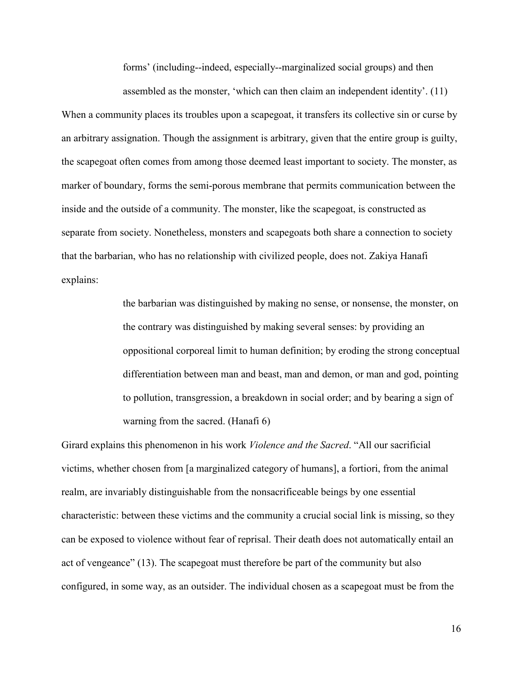forms' (including--indeed, especially--marginalized social groups) and then assembled as the monster, 'which can then claim an independent identity'. (11)

When a community places its troubles upon a scapegoat, it transfers its collective sin or curse by an arbitrary assignation. Though the assignment is arbitrary, given that the entire group is guilty, the scapegoat often comes from among those deemed least important to society. The monster, as marker of boundary, forms the semi-porous membrane that permits communication between the inside and the outside of a community. The monster, like the scapegoat, is constructed as separate from society. Nonetheless, monsters and scapegoats both share a connection to society that the barbarian, who has no relationship with civilized people, does not. Zakiya Hanafi explains:

> the barbarian was distinguished by making no sense, or nonsense, the monster, on the contrary was distinguished by making several senses: by providing an oppositional corporeal limit to human definition; by eroding the strong conceptual differentiation between man and beast, man and demon, or man and god, pointing to pollution, transgression, a breakdown in social order; and by bearing a sign of warning from the sacred. (Hanafi 6)

Girard explains this phenomenon in his work *Violence and the Sacred*. "All our sacrificial victims, whether chosen from [a marginalized category of humans], a fortiori, from the animal realm, are invariably distinguishable from the nonsacrificeable beings by one essential characteristic: between these victims and the community a crucial social link is missing, so they can be exposed to violence without fear of reprisal. Their death does not automatically entail an act of vengeance" (13). The scapegoat must therefore be part of the community but also configured, in some way, as an outsider. The individual chosen as a scapegoat must be from the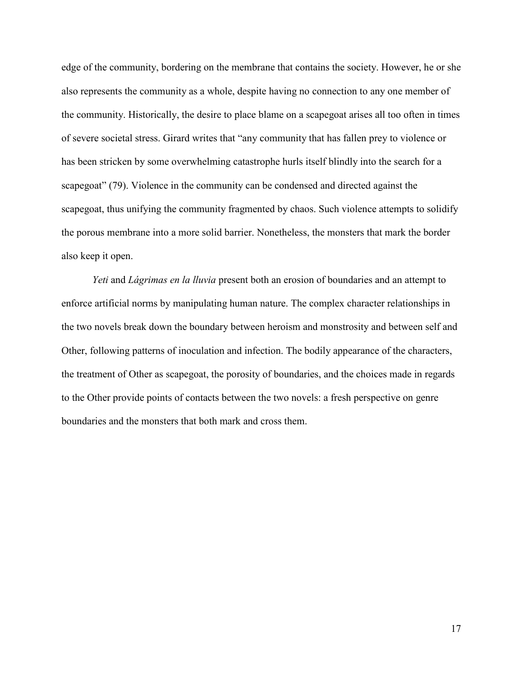edge of the community, bordering on the membrane that contains the society. However, he or she also represents the community as a whole, despite having no connection to any one member of the community. Historically, the desire to place blame on a scapegoat arises all too often in times of severe societal stress. Girard writes that "any community that has fallen prey to violence or has been stricken by some overwhelming catastrophe hurls itself blindly into the search for a scapegoat" (79). Violence in the community can be condensed and directed against the scapegoat, thus unifying the community fragmented by chaos. Such violence attempts to solidify the porous membrane into a more solid barrier. Nonetheless, the monsters that mark the border also keep it open.

*Yeti* and *Lágrimas en la lluvia* present both an erosion of boundaries and an attempt to enforce artificial norms by manipulating human nature. The complex character relationships in the two novels break down the boundary between heroism and monstrosity and between self and Other, following patterns of inoculation and infection. The bodily appearance of the characters, the treatment of Other as scapegoat, the porosity of boundaries, and the choices made in regards to the Other provide points of contacts between the two novels: a fresh perspective on genre boundaries and the monsters that both mark and cross them.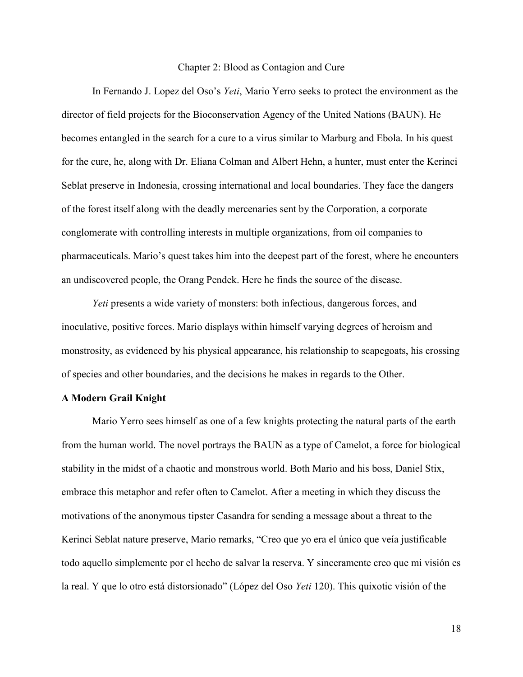#### Chapter 2: Blood as Contagion and Cure

<span id="page-21-0"></span>In Fernando J. Lopez del Oso's *Yeti*, Mario Yerro seeks to protect the environment as the director of field projects for the Bioconservation Agency of the United Nations (BAUN). He becomes entangled in the search for a cure to a virus similar to Marburg and Ebola. In his quest for the cure, he, along with Dr. Eliana Colman and Albert Hehn, a hunter, must enter the Kerinci Seblat preserve in Indonesia, crossing international and local boundaries. They face the dangers of the forest itself along with the deadly mercenaries sent by the Corporation, a corporate conglomerate with controlling interests in multiple organizations, from oil companies to pharmaceuticals. Mario's quest takes him into the deepest part of the forest, where he encounters an undiscovered people, the Orang Pendek. Here he finds the source of the disease.

*Yeti* presents a wide variety of monsters: both infectious, dangerous forces, and inoculative, positive forces. Mario displays within himself varying degrees of heroism and monstrosity, as evidenced by his physical appearance, his relationship to scapegoats, his crossing of species and other boundaries, and the decisions he makes in regards to the Other.

## **A Modern Grail Knight**

Mario Yerro sees himself as one of a few knights protecting the natural parts of the earth from the human world. The novel portrays the BAUN as a type of Camelot, a force for biological stability in the midst of a chaotic and monstrous world. Both Mario and his boss, Daniel Stix, embrace this metaphor and refer often to Camelot. After a meeting in which they discuss the motivations of the anonymous tipster Casandra for sending a message about a threat to the Kerinci Seblat nature preserve, Mario remarks, "Creo que yo era el único que veía justificable todo aquello simplemente por el hecho de salvar la reserva. Y sinceramente creo que mi visión es la real. Y que lo otro está distorsionado" (López del Oso *Yeti* 120). This quixotic visión of the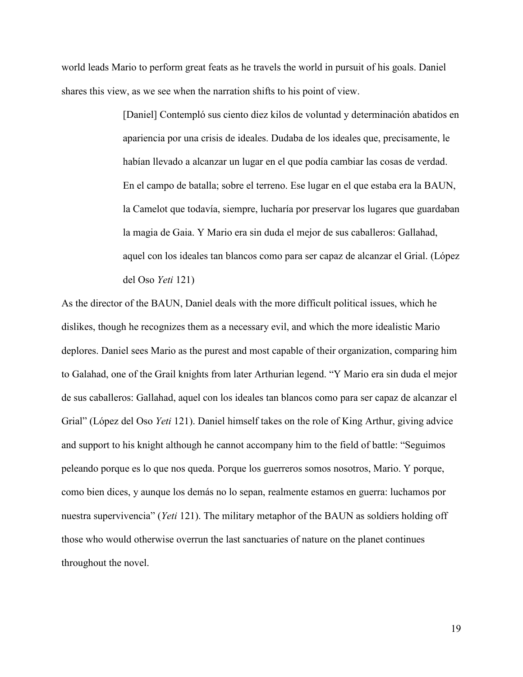world leads Mario to perform great feats as he travels the world in pursuit of his goals. Daniel shares this view, as we see when the narration shifts to his point of view.

> [Daniel] Contempló sus ciento diez kilos de voluntad y determinación abatidos en apariencia por una crisis de ideales. Dudaba de los ideales que, precisamente, le habían llevado a alcanzar un lugar en el que podía cambiar las cosas de verdad. En el campo de batalla; sobre el terreno. Ese lugar en el que estaba era la BAUN, la Camelot que todavía, siempre, lucharía por preservar los lugares que guardaban la magia de Gaia. Y Mario era sin duda el mejor de sus caballeros: Gallahad, aquel con los ideales tan blancos como para ser capaz de alcanzar el Grial. (López del Oso *Yeti* 121)

As the director of the BAUN, Daniel deals with the more difficult political issues, which he dislikes, though he recognizes them as a necessary evil, and which the more idealistic Mario deplores. Daniel sees Mario as the purest and most capable of their organization, comparing him to Galahad, one of the Grail knights from later Arthurian legend. "Y Mario era sin duda el mejor de sus caballeros: Gallahad, aquel con los ideales tan blancos como para ser capaz de alcanzar el Grial" (López del Oso *Yeti* 121). Daniel himself takes on the role of King Arthur, giving advice and support to his knight although he cannot accompany him to the field of battle: "Seguimos peleando porque es lo que nos queda. Porque los guerreros somos nosotros, Mario. Y porque, como bien dices, y aunque los demás no lo sepan, realmente estamos en guerra: luchamos por nuestra supervivencia" (*Yeti* 121). The military metaphor of the BAUN as soldiers holding off those who would otherwise overrun the last sanctuaries of nature on the planet continues throughout the novel.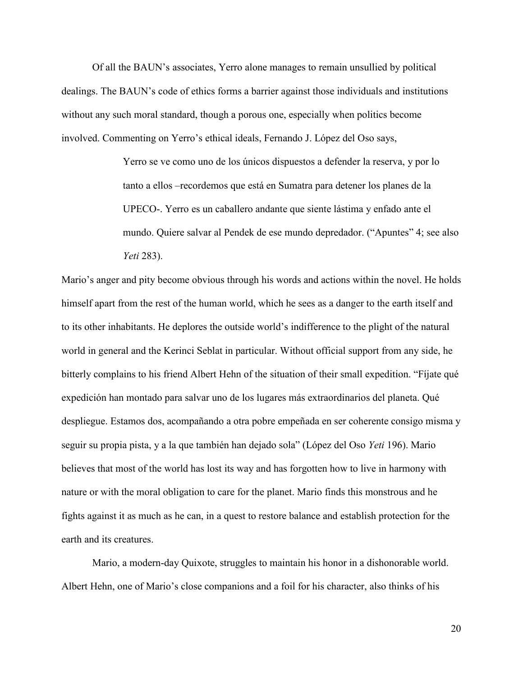Of all the BAUN's associates, Yerro alone manages to remain unsullied by political dealings. The BAUN's code of ethics forms a barrier against those individuals and institutions without any such moral standard, though a porous one, especially when politics become involved. Commenting on Yerro's ethical ideals, Fernando J. López del Oso says,

> Yerro se ve como uno de los únicos dispuestos a defender la reserva, y por lo tanto a ellos –recordemos que está en Sumatra para detener los planes de la UPECO-. Yerro es un caballero andante que siente lástima y enfado ante el mundo. Quiere salvar al Pendek de ese mundo depredador. ("Apuntes" 4; see also *Yeti* 283).

Mario's anger and pity become obvious through his words and actions within the novel. He holds himself apart from the rest of the human world, which he sees as a danger to the earth itself and to its other inhabitants. He deplores the outside world's indifference to the plight of the natural world in general and the Kerinci Seblat in particular. Without official support from any side, he bitterly complains to his friend Albert Hehn of the situation of their small expedition. "Fíjate qué expedición han montado para salvar uno de los lugares más extraordinarios del planeta. Qué despliegue. Estamos dos, acompañando a otra pobre empeñada en ser coherente consigo misma y seguir su propia pista, y a la que también han dejado sola" (López del Oso *Yeti* 196). Mario believes that most of the world has lost its way and has forgotten how to live in harmony with nature or with the moral obligation to care for the planet. Mario finds this monstrous and he fights against it as much as he can, in a quest to restore balance and establish protection for the earth and its creatures.

Mario, a modern-day Quixote, struggles to maintain his honor in a dishonorable world. Albert Hehn, one of Mario's close companions and a foil for his character, also thinks of his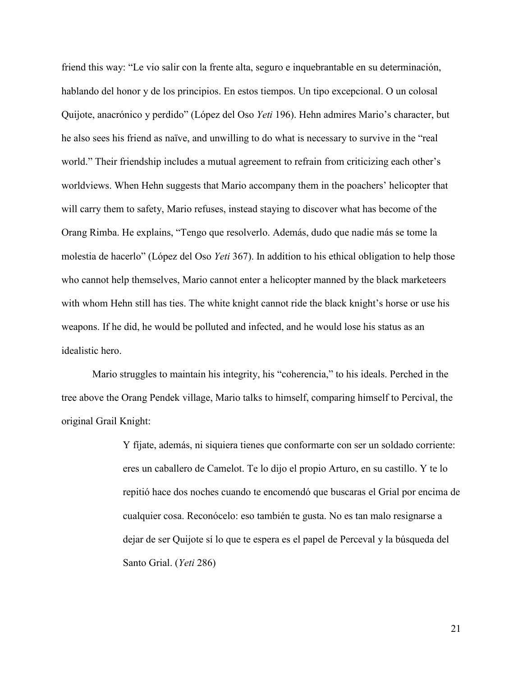friend this way: "Le vio salir con la frente alta, seguro e inquebrantable en su determinación, hablando del honor y de los principios. En estos tiempos. Un tipo excepcional. O un colosal Quijote, anacrónico y perdido" (López del Oso *Yeti* 196). Hehn admires Mario's character, but he also sees his friend as naïve, and unwilling to do what is necessary to survive in the "real world." Their friendship includes a mutual agreement to refrain from criticizing each other's worldviews. When Hehn suggests that Mario accompany them in the poachers' helicopter that will carry them to safety, Mario refuses, instead staying to discover what has become of the Orang Rimba. He explains, "Tengo que resolverlo. Además, dudo que nadie más se tome la molestia de hacerlo" (López del Oso *Yeti* 367). In addition to his ethical obligation to help those who cannot help themselves, Mario cannot enter a helicopter manned by the black marketeers with whom Hehn still has ties. The white knight cannot ride the black knight's horse or use his weapons. If he did, he would be polluted and infected, and he would lose his status as an idealistic hero.

Mario struggles to maintain his integrity, his "coherencia," to his ideals. Perched in the tree above the Orang Pendek village, Mario talks to himself, comparing himself to Percival, the original Grail Knight:

> Y fíjate, además, ni siquiera tienes que conformarte con ser un soldado corriente: eres un caballero de Camelot. Te lo dijo el propio Arturo, en su castillo. Y te lo repitió hace dos noches cuando te encomendó que buscaras el Grial por encima de cualquier cosa. Reconócelo: eso también te gusta. No es tan malo resignarse a dejar de ser Quijote sí lo que te espera es el papel de Perceval y la búsqueda del Santo Grial. (*Yeti* 286)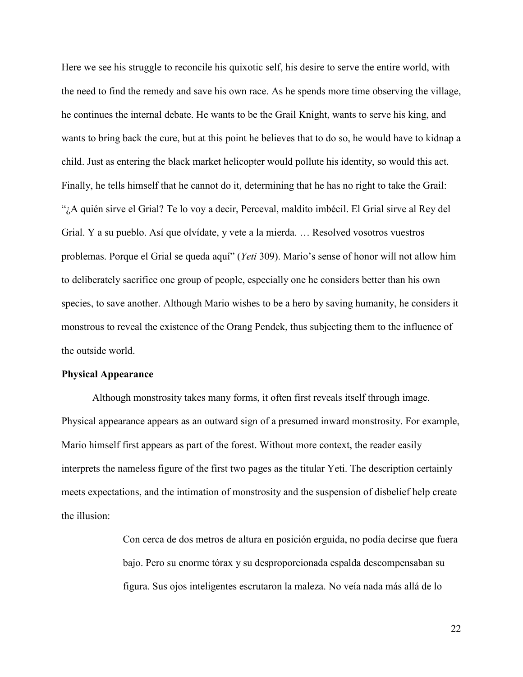Here we see his struggle to reconcile his quixotic self, his desire to serve the entire world, with the need to find the remedy and save his own race. As he spends more time observing the village, he continues the internal debate. He wants to be the Grail Knight, wants to serve his king, and wants to bring back the cure, but at this point he believes that to do so, he would have to kidnap a child. Just as entering the black market helicopter would pollute his identity, so would this act. Finally, he tells himself that he cannot do it, determining that he has no right to take the Grail: "¿A quién sirve el Grial? Te lo voy a decir, Perceval, maldito imbécil. El Grial sirve al Rey del Grial. Y a su pueblo. Así que olvídate, y vete a la mierda. … Resolved vosotros vuestros problemas. Porque el Grial se queda aquí" (*Yeti* 309). Mario's sense of honor will not allow him to deliberately sacrifice one group of people, especially one he considers better than his own species, to save another. Although Mario wishes to be a hero by saving humanity, he considers it monstrous to reveal the existence of the Orang Pendek, thus subjecting them to the influence of the outside world.

#### **Physical Appearance**

Although monstrosity takes many forms, it often first reveals itself through image. Physical appearance appears as an outward sign of a presumed inward monstrosity. For example, Mario himself first appears as part of the forest. Without more context, the reader easily interprets the nameless figure of the first two pages as the titular Yeti. The description certainly meets expectations, and the intimation of monstrosity and the suspension of disbelief help create the illusion:

> Con cerca de dos metros de altura en posición erguida, no podía decirse que fuera bajo. Pero su enorme tórax y su desproporcionada espalda descompensaban su figura. Sus ojos inteligentes escrutaron la maleza. No veía nada más allá de lo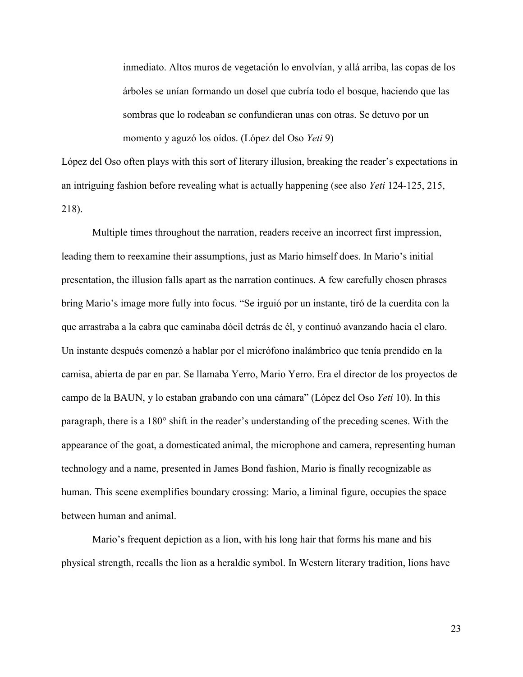inmediato. Altos muros de vegetación lo envolvían, y allá arriba, las copas de los árboles se unían formando un dosel que cubría todo el bosque, haciendo que las sombras que lo rodeaban se confundieran unas con otras. Se detuvo por un momento y aguzó los oídos. (López del Oso *Yeti* 9)

López del Oso often plays with this sort of literary illusion, breaking the reader's expectations in an intriguing fashion before revealing what is actually happening (see also *Yeti* 124-125, 215, 218).

Multiple times throughout the narration, readers receive an incorrect first impression, leading them to reexamine their assumptions, just as Mario himself does. In Mario's initial presentation, the illusion falls apart as the narration continues. A few carefully chosen phrases bring Mario's image more fully into focus. "Se irguió por un instante, tiró de la cuerdita con la que arrastraba a la cabra que caminaba dócil detrás de él, y continuó avanzando hacia el claro. Un instante después comenzó a hablar por el micrófono inalámbrico que tenía prendido en la camisa, abierta de par en par. Se llamaba Yerro, Mario Yerro. Era el director de los proyectos de campo de la BAUN, y lo estaban grabando con una cámara" (López del Oso *Yeti* 10). In this paragraph, there is a 180° shift in the reader's understanding of the preceding scenes. With the appearance of the goat, a domesticated animal, the microphone and camera, representing human technology and a name, presented in James Bond fashion, Mario is finally recognizable as human. This scene exemplifies boundary crossing: Mario, a liminal figure, occupies the space between human and animal.

Mario's frequent depiction as a lion, with his long hair that forms his mane and his physical strength, recalls the lion as a heraldic symbol. In Western literary tradition, lions have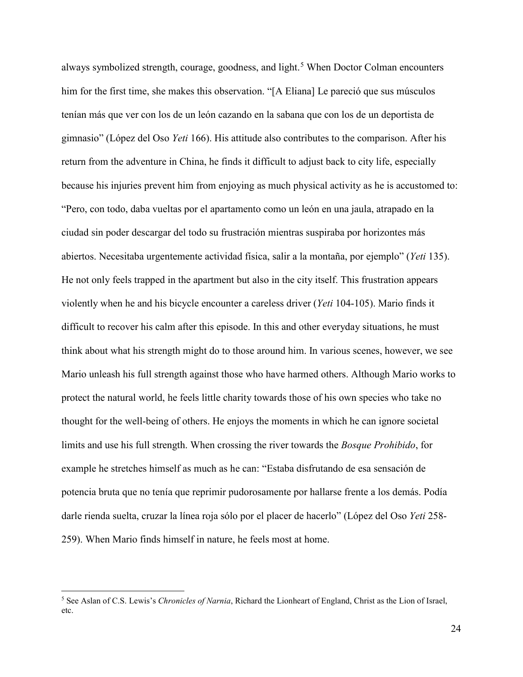always symbolized strength, courage, goodness, and light. [5](#page-27-0) When Doctor Colman encounters him for the first time, she makes this observation. "[A Eliana] Le pareció que sus músculos tenían más que ver con los de un león cazando en la sabana que con los de un deportista de gimnasio" (López del Oso *Yeti* 166). His attitude also contributes to the comparison. After his return from the adventure in China, he finds it difficult to adjust back to city life, especially because his injuries prevent him from enjoying as much physical activity as he is accustomed to: "Pero, con todo, daba vueltas por el apartamento como un león en una jaula, atrapado en la ciudad sin poder descargar del todo su frustración mientras suspiraba por horizontes más abiertos. Necesitaba urgentemente actividad física, salir a la montaña, por ejemplo" (*Yeti* 135). He not only feels trapped in the apartment but also in the city itself. This frustration appears violently when he and his bicycle encounter a careless driver (*Yeti* 104-105). Mario finds it difficult to recover his calm after this episode. In this and other everyday situations, he must think about what his strength might do to those around him. In various scenes, however, we see Mario unleash his full strength against those who have harmed others. Although Mario works to protect the natural world, he feels little charity towards those of his own species who take no thought for the well-being of others. He enjoys the moments in which he can ignore societal limits and use his full strength. When crossing the river towards the *Bosque Prohibido*, for example he stretches himself as much as he can: "Estaba disfrutando de esa sensación de potencia bruta que no tenía que reprimir pudorosamente por hallarse frente a los demás. Podía darle rienda suelta, cruzar la línea roja sólo por el placer de hacerlo" (López del Oso *Yeti* 258- 259). When Mario finds himself in nature, he feels most at home.

l

<span id="page-27-0"></span><sup>5</sup> See Aslan of C.S. Lewis's *Chronicles of Narnia*, Richard the Lionheart of England, Christ as the Lion of Israel, etc.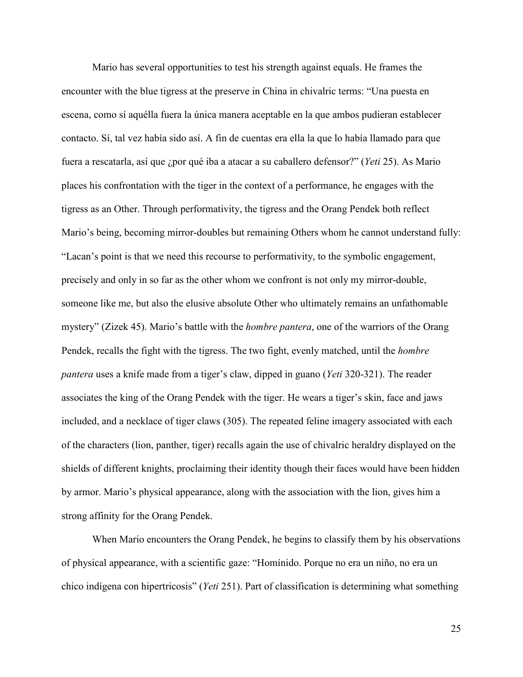Mario has several opportunities to test his strength against equals. He frames the encounter with the blue tigress at the preserve in China in chivalric terms: "Una puesta en escena, como sí aquélla fuera la única manera aceptable en la que ambos pudieran establecer contacto. Sí, tal vez había sido así. A fin de cuentas era ella la que lo había llamado para que fuera a rescatarla, así que ¿por qué iba a atacar a su caballero defensor?" (*Yeti* 25). As Mario places his confrontation with the tiger in the context of a performance, he engages with the tigress as an Other. Through performativity, the tigress and the Orang Pendek both reflect Mario's being, becoming mirror-doubles but remaining Others whom he cannot understand fully: "Lacan's point is that we need this recourse to performativity, to the symbolic engagement, precisely and only in so far as the other whom we confront is not only my mirror-double, someone like me, but also the elusive absolute Other who ultimately remains an unfathomable mystery" (Zizek 45). Mario's battle with the *hombre pantera*, one of the warriors of the Orang Pendek, recalls the fight with the tigress. The two fight, evenly matched, until the *hombre pantera* uses a knife made from a tiger's claw, dipped in guano (*Yeti* 320-321). The reader associates the king of the Orang Pendek with the tiger. He wears a tiger's skin, face and jaws included, and a necklace of tiger claws (305). The repeated feline imagery associated with each of the characters (lion, panther, tiger) recalls again the use of chivalric heraldry displayed on the shields of different knights, proclaiming their identity though their faces would have been hidden by armor. Mario's physical appearance, along with the association with the lion, gives him a strong affinity for the Orang Pendek.

When Mario encounters the Orang Pendek, he begins to classify them by his observations of physical appearance, with a scientific gaze: "Homínido. Porque no era un niño, no era un chico indígena con hipertricosis" (*Yeti* 251). Part of classification is determining what something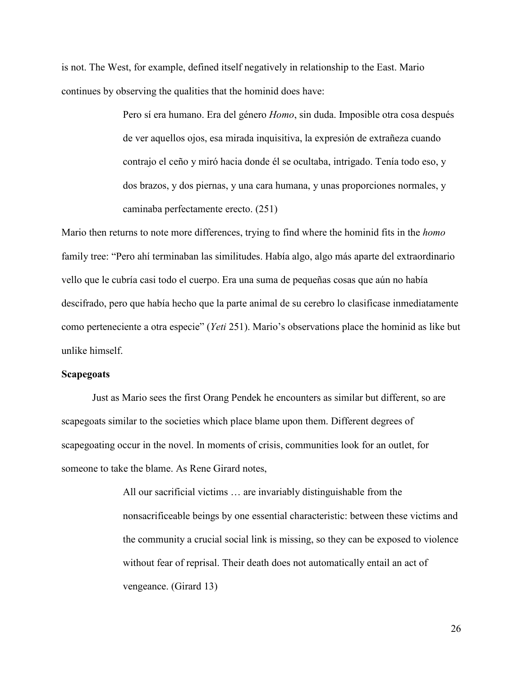is not. The West, for example, defined itself negatively in relationship to the East. Mario continues by observing the qualities that the hominid does have:

> Pero sí era humano. Era del género *Homo*, sin duda. Imposible otra cosa después de ver aquellos ojos, esa mirada inquisitiva, la expresión de extrañeza cuando contrajo el ceño y miró hacia donde él se ocultaba, intrigado. Tenía todo eso, y dos brazos, y dos piernas, y una cara humana, y unas proporciones normales, y caminaba perfectamente erecto. (251)

Mario then returns to note more differences, trying to find where the hominid fits in the *homo*  family tree: "Pero ahí terminaban las similitudes. Había algo, algo más aparte del extraordinario vello que le cubría casi todo el cuerpo. Era una suma de pequeñas cosas que aún no había descifrado, pero que había hecho que la parte animal de su cerebro lo clasificase inmediatamente como perteneciente a otra especie" (*Yeti* 251). Mario's observations place the hominid as like but unlike himself.

#### **Scapegoats**

Just as Mario sees the first Orang Pendek he encounters as similar but different, so are scapegoats similar to the societies which place blame upon them. Different degrees of scapegoating occur in the novel. In moments of crisis, communities look for an outlet, for someone to take the blame. As Rene Girard notes,

> All our sacrificial victims … are invariably distinguishable from the nonsacrificeable beings by one essential characteristic: between these victims and the community a crucial social link is missing, so they can be exposed to violence without fear of reprisal. Their death does not automatically entail an act of vengeance. (Girard 13)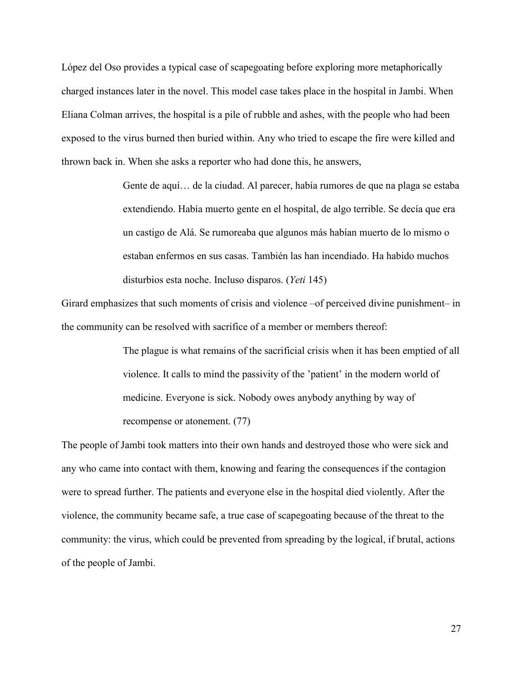López del Oso provides a typical case of scapegoating before exploring more metaphorically charged instances later in the novel. This model case takes place in the hospital in Jambi. When Eliana Colman arrives, the hospital is a pile of rubble and ashes, with the people who had been exposed to the virus burned then buried within. Any who tried to escape the fire were killed and thrown back in. When she asks a reporter who had done this, he answers,

> Gente de aquí… de la ciudad. Al parecer, había rumores de que na plaga se estaba extendiendo. Había muerto gente en el hospital, de algo terrible. Se decía que era un castigo de Alá. Se rumoreaba que algunos más habían muerto de lo mismo o estaban enfermos en sus casas. También las han incendiado. Ha habido muchos disturbios esta noche. Incluso disparos. (*Yeti* 145)

Girard emphasizes that such moments of crisis and violence –of perceived divine punishment– in the community can be resolved with sacrifice of a member or members thereof:

> The plague is what remains of the sacrificial crisis when it has been emptied of all violence. It calls to mind the passivity of the 'patient' in the modern world of medicine. Everyone is sick. Nobody owes anybody anything by way of recompense or atonement. (77)

The people of Jambi took matters into their own hands and destroyed those who were sick and any who came into contact with them, knowing and fearing the consequences if the contagion were to spread further. The patients and everyone else in the hospital died violently. After the violence, the community became safe, a true case of scapegoating because of the threat to the community: the virus, which could be prevented from spreading by the logical, if brutal, actions of the people of Jambi.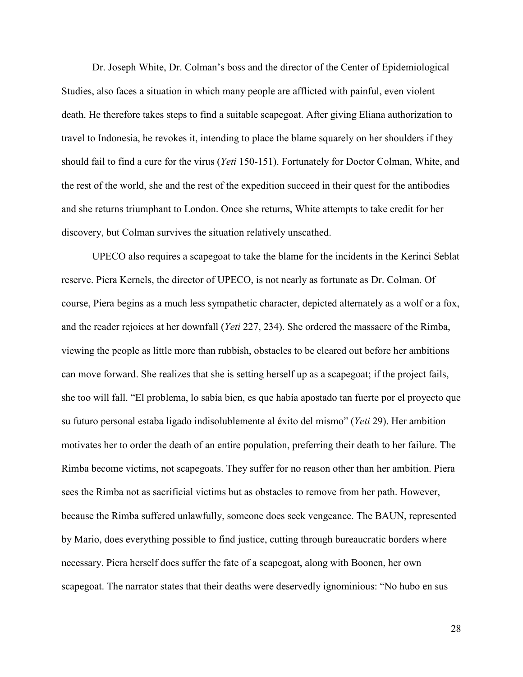Dr. Joseph White, Dr. Colman's boss and the director of the Center of Epidemiological Studies, also faces a situation in which many people are afflicted with painful, even violent death. He therefore takes steps to find a suitable scapegoat. After giving Eliana authorization to travel to Indonesia, he revokes it, intending to place the blame squarely on her shoulders if they should fail to find a cure for the virus (*Yeti* 150-151). Fortunately for Doctor Colman, White, and the rest of the world, she and the rest of the expedition succeed in their quest for the antibodies and she returns triumphant to London. Once she returns, White attempts to take credit for her discovery, but Colman survives the situation relatively unscathed.

UPECO also requires a scapegoat to take the blame for the incidents in the Kerinci Seblat reserve. Piera Kernels, the director of UPECO, is not nearly as fortunate as Dr. Colman. Of course, Piera begins as a much less sympathetic character, depicted alternately as a wolf or a fox, and the reader rejoices at her downfall (*Yeti* 227, 234). She ordered the massacre of the Rimba, viewing the people as little more than rubbish, obstacles to be cleared out before her ambitions can move forward. She realizes that she is setting herself up as a scapegoat; if the project fails, she too will fall. "El problema, lo sabía bien, es que había apostado tan fuerte por el proyecto que su futuro personal estaba ligado indisolublemente al éxito del mismo" (*Yeti* 29). Her ambition motivates her to order the death of an entire population, preferring their death to her failure. The Rimba become victims, not scapegoats. They suffer for no reason other than her ambition. Piera sees the Rimba not as sacrificial victims but as obstacles to remove from her path. However, because the Rimba suffered unlawfully, someone does seek vengeance. The BAUN, represented by Mario, does everything possible to find justice, cutting through bureaucratic borders where necessary. Piera herself does suffer the fate of a scapegoat, along with Boonen, her own scapegoat. The narrator states that their deaths were deservedly ignominious: "No hubo en sus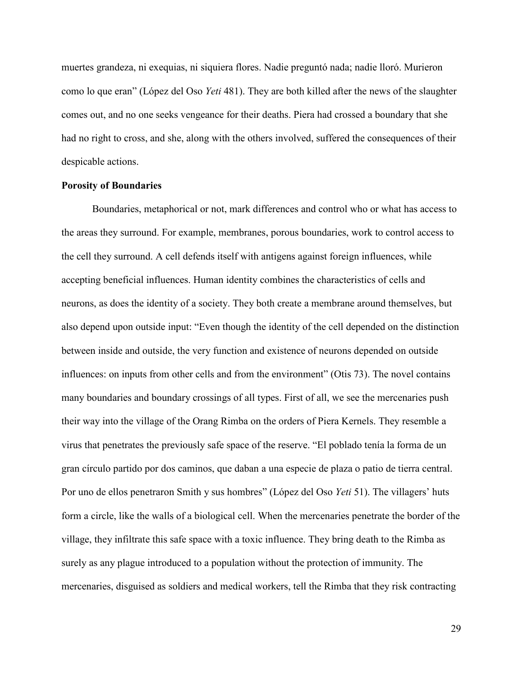muertes grandeza, ni exequias, ni siquiera flores. Nadie preguntó nada; nadie lloró. Murieron como lo que eran" (López del Oso *Yeti* 481). They are both killed after the news of the slaughter comes out, and no one seeks vengeance for their deaths. Piera had crossed a boundary that she had no right to cross, and she, along with the others involved, suffered the consequences of their despicable actions.

#### **Porosity of Boundaries**

Boundaries, metaphorical or not, mark differences and control who or what has access to the areas they surround. For example, membranes, porous boundaries, work to control access to the cell they surround. A cell defends itself with antigens against foreign influences, while accepting beneficial influences. Human identity combines the characteristics of cells and neurons, as does the identity of a society. They both create a membrane around themselves, but also depend upon outside input: "Even though the identity of the cell depended on the distinction between inside and outside, the very function and existence of neurons depended on outside influences: on inputs from other cells and from the environment" (Otis 73). The novel contains many boundaries and boundary crossings of all types. First of all, we see the mercenaries push their way into the village of the Orang Rimba on the orders of Piera Kernels. They resemble a virus that penetrates the previously safe space of the reserve. "El poblado tenía la forma de un gran círculo partido por dos caminos, que daban a una especie de plaza o patio de tierra central. Por uno de ellos penetraron Smith y sus hombres" (López del Oso *Yeti* 51). The villagers' huts form a circle, like the walls of a biological cell. When the mercenaries penetrate the border of the village, they infiltrate this safe space with a toxic influence. They bring death to the Rimba as surely as any plague introduced to a population without the protection of immunity. The mercenaries, disguised as soldiers and medical workers, tell the Rimba that they risk contracting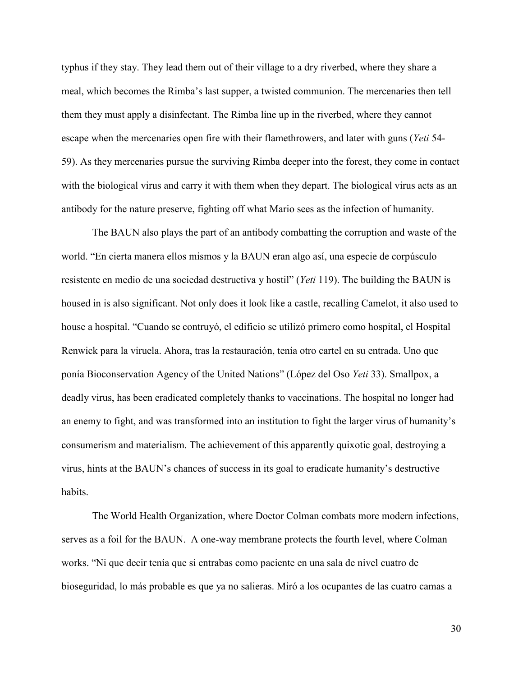typhus if they stay. They lead them out of their village to a dry riverbed, where they share a meal, which becomes the Rimba's last supper, a twisted communion. The mercenaries then tell them they must apply a disinfectant. The Rimba line up in the riverbed, where they cannot escape when the mercenaries open fire with their flamethrowers, and later with guns (*Yeti* 54- 59). As they mercenaries pursue the surviving Rimba deeper into the forest, they come in contact with the biological virus and carry it with them when they depart. The biological virus acts as an antibody for the nature preserve, fighting off what Mario sees as the infection of humanity.

The BAUN also plays the part of an antibody combatting the corruption and waste of the world. "En cierta manera ellos mismos y la BAUN eran algo así, una especie de corpúsculo resistente en medio de una sociedad destructiva y hostil" (*Yeti* 119). The building the BAUN is housed in is also significant. Not only does it look like a castle, recalling Camelot, it also used to house a hospital. "Cuando se contruyó, el edificio se utilizó primero como hospital, el Hospital Renwick para la viruela. Ahora, tras la restauración, tenía otro cartel en su entrada. Uno que ponía Bioconservation Agency of the United Nations" (López del Oso *Yeti* 33). Smallpox, a deadly virus, has been eradicated completely thanks to vaccinations. The hospital no longer had an enemy to fight, and was transformed into an institution to fight the larger virus of humanity's consumerism and materialism. The achievement of this apparently quixotic goal, destroying a virus, hints at the BAUN's chances of success in its goal to eradicate humanity's destructive habits.

The World Health Organization, where Doctor Colman combats more modern infections, serves as a foil for the BAUN. A one-way membrane protects the fourth level, where Colman works. "Ni que decir tenía que si entrabas como paciente en una sala de nivel cuatro de bioseguridad, lo más probable es que ya no salieras. Miró a los ocupantes de las cuatro camas a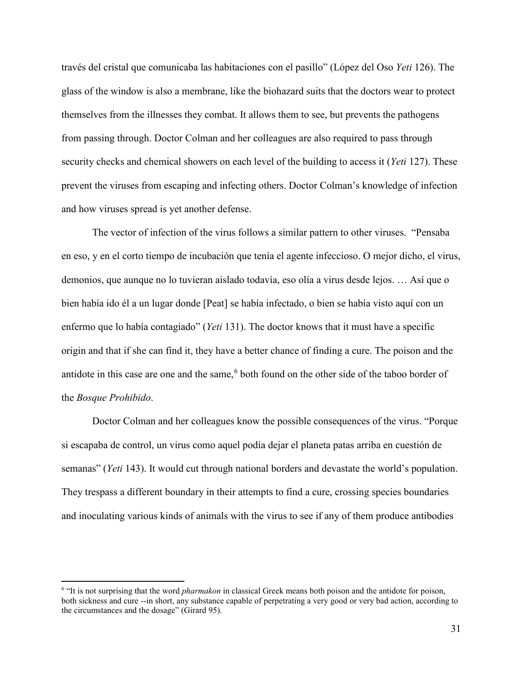través del cristal que comunicaba las habitaciones con el pasillo" (López del Oso *Yeti* 126). The glass of the window is also a membrane, like the biohazard suits that the doctors wear to protect themselves from the illnesses they combat. It allows them to see, but prevents the pathogens from passing through. Doctor Colman and her colleagues are also required to pass through security checks and chemical showers on each level of the building to access it (*Yeti* 127). These prevent the viruses from escaping and infecting others. Doctor Colman's knowledge of infection and how viruses spread is yet another defense.

The vector of infection of the virus follows a similar pattern to other viruses. "Pensaba en eso, y en el corto tiempo de incubación que tenía el agente infeccioso. O mejor dicho, el virus, demonios, que aunque no lo tuvieran aislado todavía, eso olía a virus desde lejos. … Así que o bien había ido él a un lugar donde [Peat] se había infectado, o bien se había visto aquí con un enfermo que lo había contagiado" (*Yeti* 131). The doctor knows that it must have a specific origin and that if she can find it, they have a better chance of finding a cure. The poison and the antidote in this case are one and the same,<sup>[6](#page-34-0)</sup> both found on the other side of the taboo border of the *Bosque Prohibido*.

Doctor Colman and her colleagues know the possible consequences of the virus. "Porque si escapaba de control, un virus como aquel podía dejar el planeta patas arriba en cuestión de semanas" (*Yeti* 143). It would cut through national borders and devastate the world's population. They trespass a different boundary in their attempts to find a cure, crossing species boundaries and inoculating various kinds of animals with the virus to see if any of them produce antibodies

 $\overline{\phantom{a}}$ 

<span id="page-34-0"></span><sup>6</sup> "It is not surprising that the word *pharmakon* in classical Greek means both poison and the antidote for poison, both sickness and cure --in short, any substance capable of perpetrating a very good or very bad action, according to the circumstances and the dosage" (Girard 95).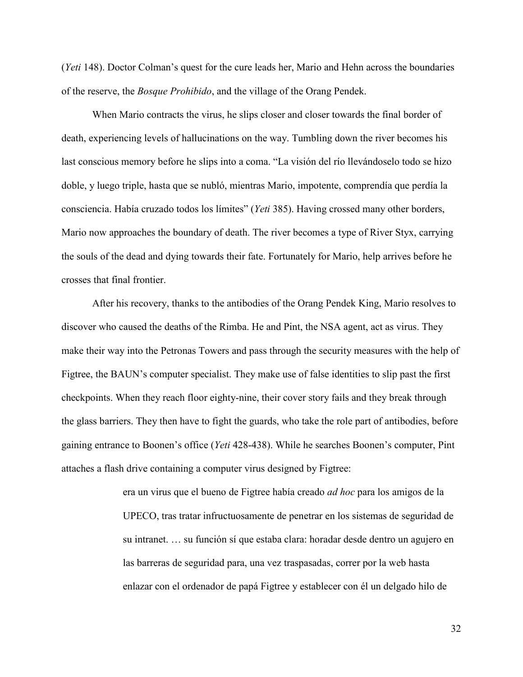(*Yeti* 148). Doctor Colman's quest for the cure leads her, Mario and Hehn across the boundaries of the reserve, the *Bosque Prohibido*, and the village of the Orang Pendek.

When Mario contracts the virus, he slips closer and closer towards the final border of death, experiencing levels of hallucinations on the way. Tumbling down the river becomes his last conscious memory before he slips into a coma. "La visión del río llevándoselo todo se hizo doble, y luego triple, hasta que se nubló, mientras Mario, impotente, comprendía que perdía la consciencia. Había cruzado todos los límites" (*Yeti* 385). Having crossed many other borders, Mario now approaches the boundary of death. The river becomes a type of River Styx, carrying the souls of the dead and dying towards their fate. Fortunately for Mario, help arrives before he crosses that final frontier.

After his recovery, thanks to the antibodies of the Orang Pendek King, Mario resolves to discover who caused the deaths of the Rimba. He and Pint, the NSA agent, act as virus. They make their way into the Petronas Towers and pass through the security measures with the help of Figtree, the BAUN's computer specialist. They make use of false identities to slip past the first checkpoints. When they reach floor eighty-nine, their cover story fails and they break through the glass barriers. They then have to fight the guards, who take the role part of antibodies, before gaining entrance to Boonen's office (*Yeti* 428-438). While he searches Boonen's computer, Pint attaches a flash drive containing a computer virus designed by Figtree:

> era un virus que el bueno de Figtree había creado *ad hoc* para los amigos de la UPECO, tras tratar infructuosamente de penetrar en los sistemas de seguridad de su intranet. … su función sí que estaba clara: horadar desde dentro un agujero en las barreras de seguridad para, una vez traspasadas, correr por la web hasta enlazar con el ordenador de papá Figtree y establecer con él un delgado hilo de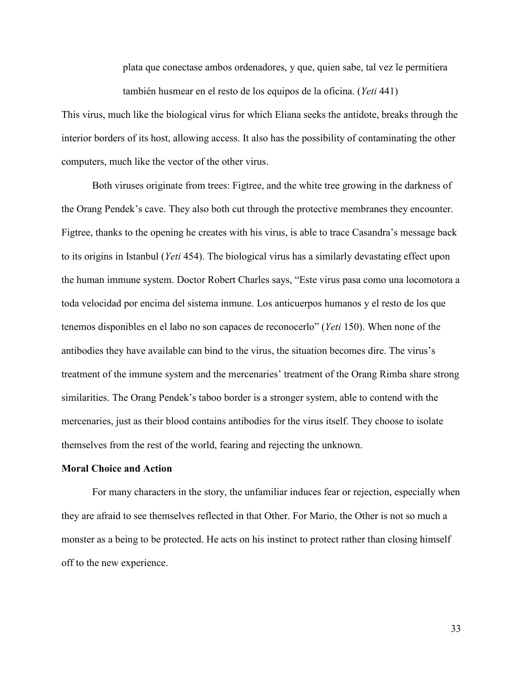plata que conectase ambos ordenadores, y que, quien sabe, tal vez le permitiera también husmear en el resto de los equipos de la oficina. (*Yeti* 441)

This virus, much like the biological virus for which Eliana seeks the antidote, breaks through the interior borders of its host, allowing access. It also has the possibility of contaminating the other computers, much like the vector of the other virus.

Both viruses originate from trees: Figtree, and the white tree growing in the darkness of the Orang Pendek's cave. They also both cut through the protective membranes they encounter. Figtree, thanks to the opening he creates with his virus, is able to trace Casandra's message back to its origins in Istanbul (*Yeti* 454). The biological virus has a similarly devastating effect upon the human immune system. Doctor Robert Charles says, "Este virus pasa como una locomotora a toda velocidad por encima del sistema inmune. Los anticuerpos humanos y el resto de los que tenemos disponibles en el labo no son capaces de reconocerlo" (*Yeti* 150). When none of the antibodies they have available can bind to the virus, the situation becomes dire. The virus's treatment of the immune system and the mercenaries' treatment of the Orang Rimba share strong similarities. The Orang Pendek's taboo border is a stronger system, able to contend with the mercenaries, just as their blood contains antibodies for the virus itself. They choose to isolate themselves from the rest of the world, fearing and rejecting the unknown.

# **Moral Choice and Action**

For many characters in the story, the unfamiliar induces fear or rejection, especially when they are afraid to see themselves reflected in that Other. For Mario, the Other is not so much a monster as a being to be protected. He acts on his instinct to protect rather than closing himself off to the new experience.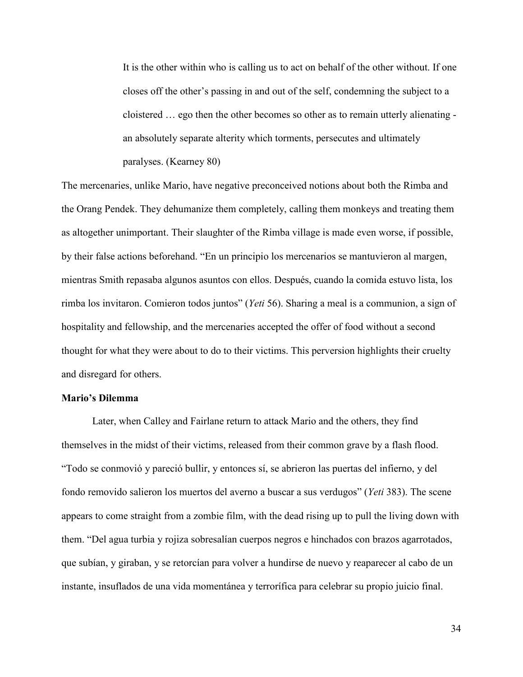It is the other within who is calling us to act on behalf of the other without. If one closes off the other's passing in and out of the self, condemning the subject to a cloistered … ego then the other becomes so other as to remain utterly alienating an absolutely separate alterity which torments, persecutes and ultimately paralyses. (Kearney 80)

The mercenaries, unlike Mario, have negative preconceived notions about both the Rimba and the Orang Pendek. They dehumanize them completely, calling them monkeys and treating them as altogether unimportant. Their slaughter of the Rimba village is made even worse, if possible, by their false actions beforehand. "En un principio los mercenarios se mantuvieron al margen, mientras Smith repasaba algunos asuntos con ellos. Después, cuando la comida estuvo lista, los rimba los invitaron. Comieron todos juntos" (*Yeti* 56). Sharing a meal is a communion, a sign of hospitality and fellowship, and the mercenaries accepted the offer of food without a second thought for what they were about to do to their victims. This perversion highlights their cruelty and disregard for others.

### **Mario's Dilemma**

Later, when Calley and Fairlane return to attack Mario and the others, they find themselves in the midst of their victims, released from their common grave by a flash flood. "Todo se conmovió y pareció bullir, y entonces sí, se abrieron las puertas del infierno, y del fondo removido salieron los muertos del averno a buscar a sus verdugos" (*Yeti* 383). The scene appears to come straight from a zombie film, with the dead rising up to pull the living down with them. "Del agua turbia y rojiza sobresalían cuerpos negros e hinchados con brazos agarrotados, que subían, y giraban, y se retorcían para volver a hundirse de nuevo y reaparecer al cabo de un instante, insuflados de una vida momentánea y terrorífica para celebrar su propio juicio final.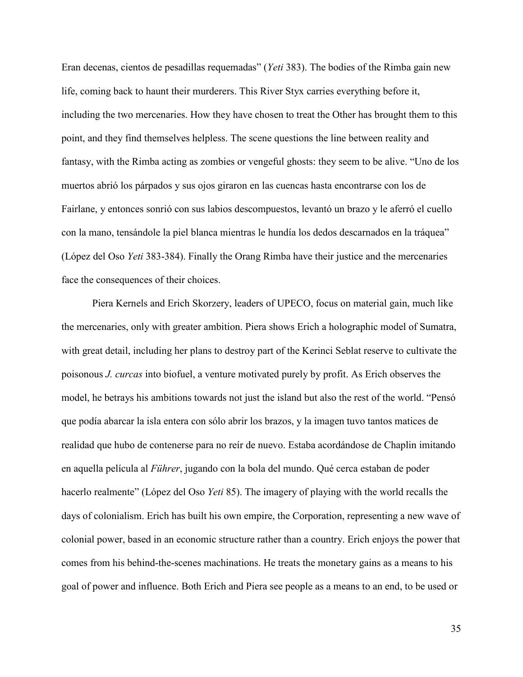Eran decenas, cientos de pesadillas requemadas" (*Yeti* 383). The bodies of the Rimba gain new life, coming back to haunt their murderers. This River Styx carries everything before it, including the two mercenaries. How they have chosen to treat the Other has brought them to this point, and they find themselves helpless. The scene questions the line between reality and fantasy, with the Rimba acting as zombies or vengeful ghosts: they seem to be alive. "Uno de los muertos abrió los párpados y sus ojos giraron en las cuencas hasta encontrarse con los de Fairlane, y entonces sonrió con sus labios descompuestos, levantó un brazo y le aferró el cuello con la mano, tensándole la piel blanca mientras le hundía los dedos descarnados en la tráquea" (López del Oso *Yeti* 383-384). Finally the Orang Rimba have their justice and the mercenaries face the consequences of their choices.

Piera Kernels and Erich Skorzery, leaders of UPECO, focus on material gain, much like the mercenaries, only with greater ambition. Piera shows Erich a holographic model of Sumatra, with great detail, including her plans to destroy part of the Kerinci Seblat reserve to cultivate the poisonous *J. curcas* into biofuel, a venture motivated purely by profit. As Erich observes the model, he betrays his ambitions towards not just the island but also the rest of the world. "Pensó que podía abarcar la isla entera con sólo abrir los brazos, y la imagen tuvo tantos matices de realidad que hubo de contenerse para no reír de nuevo. Estaba acordándose de Chaplin imitando en aquella película al *Führer*, jugando con la bola del mundo. Qué cerca estaban de poder hacerlo realmente" (López del Oso *Yeti* 85). The imagery of playing with the world recalls the days of colonialism. Erich has built his own empire, the Corporation, representing a new wave of colonial power, based in an economic structure rather than a country. Erich enjoys the power that comes from his behind-the-scenes machinations. He treats the monetary gains as a means to his goal of power and influence. Both Erich and Piera see people as a means to an end, to be used or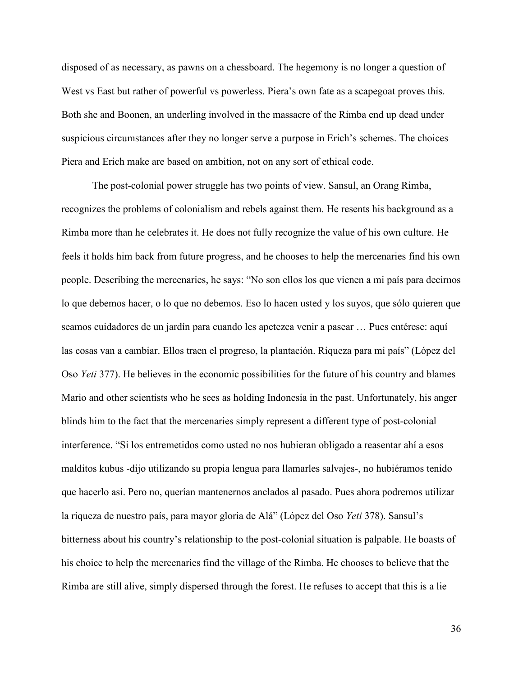disposed of as necessary, as pawns on a chessboard. The hegemony is no longer a question of West vs East but rather of powerful vs powerless. Piera's own fate as a scapegoat proves this. Both she and Boonen, an underling involved in the massacre of the Rimba end up dead under suspicious circumstances after they no longer serve a purpose in Erich's schemes. The choices Piera and Erich make are based on ambition, not on any sort of ethical code.

The post-colonial power struggle has two points of view. Sansul, an Orang Rimba, recognizes the problems of colonialism and rebels against them. He resents his background as a Rimba more than he celebrates it. He does not fully recognize the value of his own culture. He feels it holds him back from future progress, and he chooses to help the mercenaries find his own people. Describing the mercenaries, he says: "No son ellos los que vienen a mi país para decirnos lo que debemos hacer, o lo que no debemos. Eso lo hacen usted y los suyos, que sólo quieren que seamos cuidadores de un jardín para cuando les apetezca venir a pasear … Pues entérese: aquí las cosas van a cambiar. Ellos traen el progreso, la plantación. Riqueza para mi país" (López del Oso *Yeti* 377). He believes in the economic possibilities for the future of his country and blames Mario and other scientists who he sees as holding Indonesia in the past. Unfortunately, his anger blinds him to the fact that the mercenaries simply represent a different type of post-colonial interference. "Si los entremetidos como usted no nos hubieran obligado a reasentar ahí a esos malditos kubus -dijo utilizando su propia lengua para llamarles salvajes-, no hubiéramos tenido que hacerlo así. Pero no, querían mantenernos anclados al pasado. Pues ahora podremos utilizar la riqueza de nuestro país, para mayor gloria de Alá" (López del Oso *Yeti* 378). Sansul's bitterness about his country's relationship to the post-colonial situation is palpable. He boasts of his choice to help the mercenaries find the village of the Rimba. He chooses to believe that the Rimba are still alive, simply dispersed through the forest. He refuses to accept that this is a lie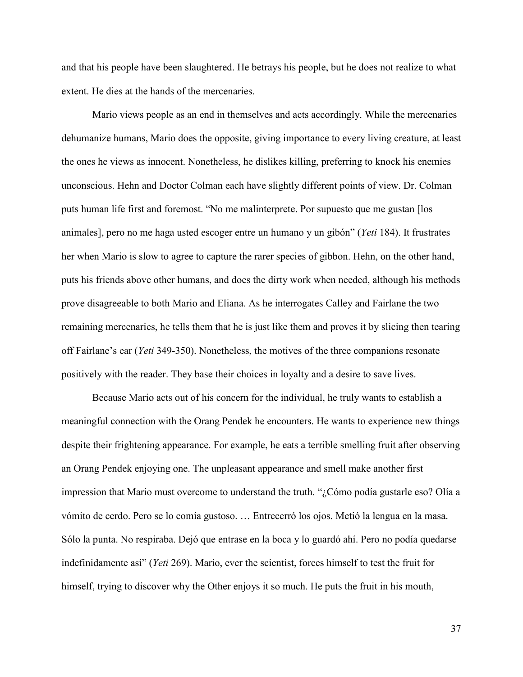and that his people have been slaughtered. He betrays his people, but he does not realize to what extent. He dies at the hands of the mercenaries.

Mario views people as an end in themselves and acts accordingly. While the mercenaries dehumanize humans, Mario does the opposite, giving importance to every living creature, at least the ones he views as innocent. Nonetheless, he dislikes killing, preferring to knock his enemies unconscious. Hehn and Doctor Colman each have slightly different points of view. Dr. Colman puts human life first and foremost. "No me malinterprete. Por supuesto que me gustan [los animales], pero no me haga usted escoger entre un humano y un gibón" (*Yeti* 184). It frustrates her when Mario is slow to agree to capture the rarer species of gibbon. Hehn, on the other hand, puts his friends above other humans, and does the dirty work when needed, although his methods prove disagreeable to both Mario and Eliana. As he interrogates Calley and Fairlane the two remaining mercenaries, he tells them that he is just like them and proves it by slicing then tearing off Fairlane's ear (*Yeti* 349-350). Nonetheless, the motives of the three companions resonate positively with the reader. They base their choices in loyalty and a desire to save lives.

Because Mario acts out of his concern for the individual, he truly wants to establish a meaningful connection with the Orang Pendek he encounters. He wants to experience new things despite their frightening appearance. For example, he eats a terrible smelling fruit after observing an Orang Pendek enjoying one. The unpleasant appearance and smell make another first impression that Mario must overcome to understand the truth. "¿Cómo podía gustarle eso? Olía a vómito de cerdo. Pero se lo comía gustoso. … Entrecerró los ojos. Metió la lengua en la masa. Sólo la punta. No respiraba. Dejó que entrase en la boca y lo guardó ahí. Pero no podía quedarse indefinidamente así" (*Yeti* 269). Mario, ever the scientist, forces himself to test the fruit for himself, trying to discover why the Other enjoys it so much. He puts the fruit in his mouth,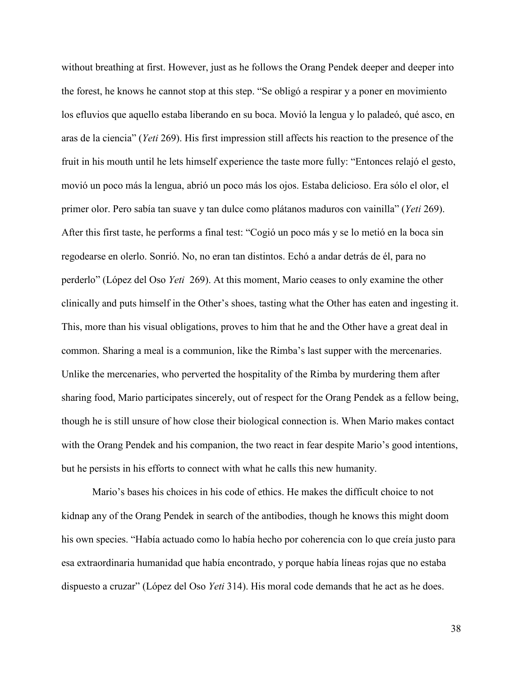without breathing at first. However, just as he follows the Orang Pendek deeper and deeper into the forest, he knows he cannot stop at this step. "Se obligó a respirar y a poner en movimiento los efluvios que aquello estaba liberando en su boca. Movió la lengua y lo paladeó, qué asco, en aras de la ciencia" (*Yeti* 269). His first impression still affects his reaction to the presence of the fruit in his mouth until he lets himself experience the taste more fully: "Entonces relajó el gesto, movió un poco más la lengua, abrió un poco más los ojos. Estaba delicioso. Era sólo el olor, el primer olor. Pero sabía tan suave y tan dulce como plátanos maduros con vainilla" (*Yeti* 269). After this first taste, he performs a final test: "Cogió un poco más y se lo metió en la boca sin regodearse en olerlo. Sonrió. No, no eran tan distintos. Echó a andar detrás de él, para no perderlo" (López del Oso *Yeti* 269). At this moment, Mario ceases to only examine the other clinically and puts himself in the Other's shoes, tasting what the Other has eaten and ingesting it. This, more than his visual obligations, proves to him that he and the Other have a great deal in common. Sharing a meal is a communion, like the Rimba's last supper with the mercenaries. Unlike the mercenaries, who perverted the hospitality of the Rimba by murdering them after sharing food, Mario participates sincerely, out of respect for the Orang Pendek as a fellow being, though he is still unsure of how close their biological connection is. When Mario makes contact with the Orang Pendek and his companion, the two react in fear despite Mario's good intentions, but he persists in his efforts to connect with what he calls this new humanity.

Mario's bases his choices in his code of ethics. He makes the difficult choice to not kidnap any of the Orang Pendek in search of the antibodies, though he knows this might doom his own species. "Había actuado como lo había hecho por coherencia con lo que creía justo para esa extraordinaria humanidad que había encontrado, y porque había líneas rojas que no estaba dispuesto a cruzar" (López del Oso *Yeti* 314). His moral code demands that he act as he does.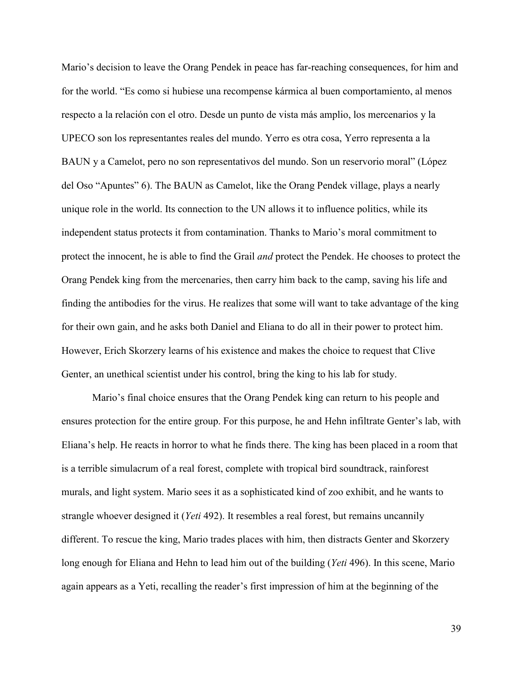Mario's decision to leave the Orang Pendek in peace has far-reaching consequences, for him and for the world. "Es como si hubiese una recompense kármica al buen comportamiento, al menos respecto a la relación con el otro. Desde un punto de vista más amplio, los mercenarios y la UPECO son los representantes reales del mundo. Yerro es otra cosa, Yerro representa a la BAUN y a Camelot, pero no son representativos del mundo. Son un reservorio moral" (López del Oso "Apuntes" 6). The BAUN as Camelot, like the Orang Pendek village, plays a nearly unique role in the world. Its connection to the UN allows it to influence politics, while its independent status protects it from contamination. Thanks to Mario's moral commitment to protect the innocent, he is able to find the Grail *and* protect the Pendek. He chooses to protect the Orang Pendek king from the mercenaries, then carry him back to the camp, saving his life and finding the antibodies for the virus. He realizes that some will want to take advantage of the king for their own gain, and he asks both Daniel and Eliana to do all in their power to protect him. However, Erich Skorzery learns of his existence and makes the choice to request that Clive Genter, an unethical scientist under his control, bring the king to his lab for study.

Mario's final choice ensures that the Orang Pendek king can return to his people and ensures protection for the entire group. For this purpose, he and Hehn infiltrate Genter's lab, with Eliana's help. He reacts in horror to what he finds there. The king has been placed in a room that is a terrible simulacrum of a real forest, complete with tropical bird soundtrack, rainforest murals, and light system. Mario sees it as a sophisticated kind of zoo exhibit, and he wants to strangle whoever designed it (*Yeti* 492). It resembles a real forest, but remains uncannily different. To rescue the king, Mario trades places with him, then distracts Genter and Skorzery long enough for Eliana and Hehn to lead him out of the building (*Yeti* 496). In this scene, Mario again appears as a Yeti, recalling the reader's first impression of him at the beginning of the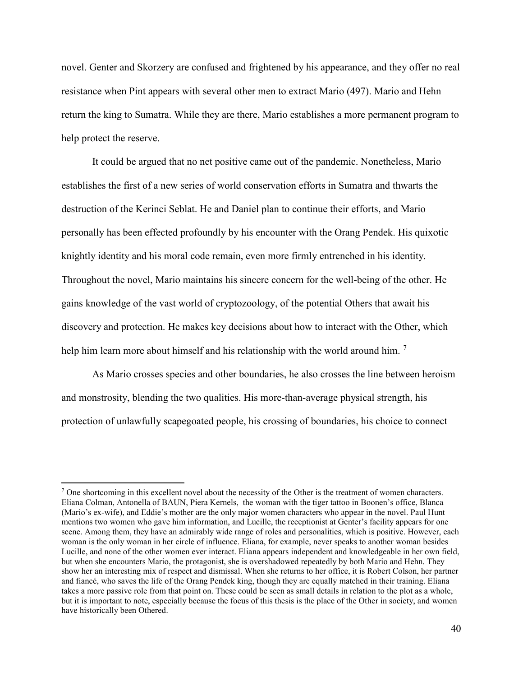novel. Genter and Skorzery are confused and frightened by his appearance, and they offer no real resistance when Pint appears with several other men to extract Mario (497). Mario and Hehn return the king to Sumatra. While they are there, Mario establishes a more permanent program to help protect the reserve.

It could be argued that no net positive came out of the pandemic. Nonetheless, Mario establishes the first of a new series of world conservation efforts in Sumatra and thwarts the destruction of the Kerinci Seblat. He and Daniel plan to continue their efforts, and Mario personally has been effected profoundly by his encounter with the Orang Pendek. His quixotic knightly identity and his moral code remain, even more firmly entrenched in his identity. Throughout the novel, Mario maintains his sincere concern for the well-being of the other. He gains knowledge of the vast world of cryptozoology, of the potential Others that await his discovery and protection. He makes key decisions about how to interact with the Other, which help him learn more about himself and his relationship with the world around him.<sup>[7](#page-43-0)</sup>

As Mario crosses species and other boundaries, he also crosses the line between heroism and monstrosity, blending the two qualities. His more-than-average physical strength, his protection of unlawfully scapegoated people, his crossing of boundaries, his choice to connect

l

<span id="page-43-0"></span><sup>&</sup>lt;sup>7</sup> One shortcoming in this excellent novel about the necessity of the Other is the treatment of women characters. Eliana Colman, Antonella of BAUN, Piera Kernels, the woman with the tiger tattoo in Boonen's office, Blanca (Mario's ex-wife), and Eddie's mother are the only major women characters who appear in the novel. Paul Hunt mentions two women who gave him information, and Lucille, the receptionist at Genter's facility appears for one scene. Among them, they have an admirably wide range of roles and personalities, which is positive. However, each woman is the only woman in her circle of influence. Eliana, for example, never speaks to another woman besides Lucille, and none of the other women ever interact. Eliana appears independent and knowledgeable in her own field, but when she encounters Mario, the protagonist, she is overshadowed repeatedly by both Mario and Hehn. They show her an interesting mix of respect and dismissal. When she returns to her office, it is Robert Colson, her partner and fiancé, who saves the life of the Orang Pendek king, though they are equally matched in their training. Eliana takes a more passive role from that point on. These could be seen as small details in relation to the plot as a whole, but it is important to note, especially because the focus of this thesis is the place of the Other in society, and women have historically been Othered.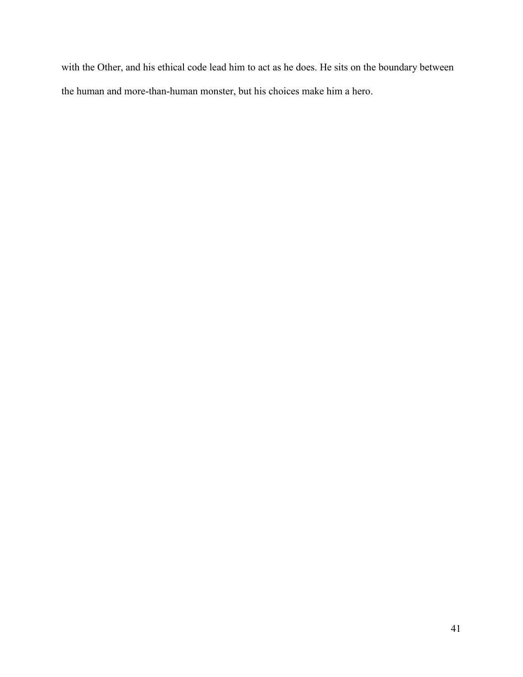with the Other, and his ethical code lead him to act as he does. He sits on the boundary between the human and more-than-human monster, but his choices make him a hero.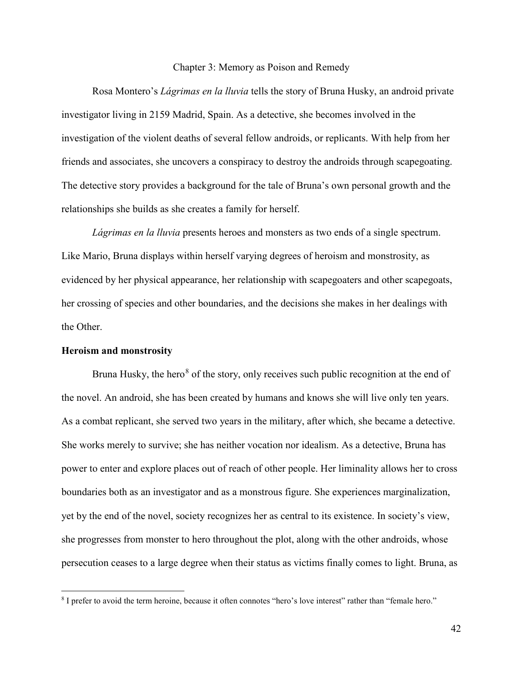#### Chapter 3: Memory as Poison and Remedy

Rosa Montero's *Lágrimas en la lluvia* tells the story of Bruna Husky, an android private investigator living in 2159 Madrid, Spain. As a detective, she becomes involved in the investigation of the violent deaths of several fellow androids, or replicants. With help from her friends and associates, she uncovers a conspiracy to destroy the androids through scapegoating. The detective story provides a background for the tale of Bruna's own personal growth and the relationships she builds as she creates a family for herself.

*Lágrimas en la lluvia* presents heroes and monsters as two ends of a single spectrum. Like Mario, Bruna displays within herself varying degrees of heroism and monstrosity, as evidenced by her physical appearance, her relationship with scapegoaters and other scapegoats, her crossing of species and other boundaries, and the decisions she makes in her dealings with the Other.

# **Heroism and monstrosity**

l

Bruna Husky, the hero<sup>[8](#page-45-0)</sup> of the story, only receives such public recognition at the end of the novel. An android, she has been created by humans and knows she will live only ten years. As a combat replicant, she served two years in the military, after which, she became a detective. She works merely to survive; she has neither vocation nor idealism. As a detective, Bruna has power to enter and explore places out of reach of other people. Her liminality allows her to cross boundaries both as an investigator and as a monstrous figure. She experiences marginalization, yet by the end of the novel, society recognizes her as central to its existence. In society's view, she progresses from monster to hero throughout the plot, along with the other androids, whose persecution ceases to a large degree when their status as victims finally comes to light. Bruna, as

<span id="page-45-0"></span><sup>8</sup> I prefer to avoid the term heroine, because it often connotes "hero's love interest" rather than "female hero."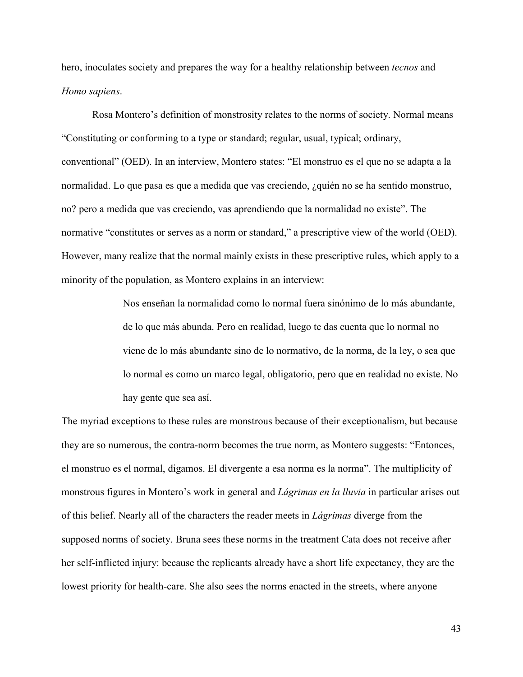hero, inoculates society and prepares the way for a healthy relationship between *tecnos* and *Homo sapiens*.

Rosa Montero's definition of monstrosity relates to the norms of society. Normal means "Constituting or conforming to a type or standard; regular, usual, typical; ordinary, conventional" (OED). In an interview, Montero states: "El monstruo es el que no se adapta a la normalidad. Lo que pasa es que a medida que vas creciendo, ¿quién no se ha sentido monstruo, no? pero a medida que vas creciendo, vas aprendiendo que la normalidad no existe". The normative "constitutes or serves as a norm or standard," a prescriptive view of the world (OED). However, many realize that the normal mainly exists in these prescriptive rules, which apply to a minority of the population, as Montero explains in an interview:

> Nos enseñan la normalidad como lo normal fuera sinónimo de lo más abundante, de lo que más abunda. Pero en realidad, luego te das cuenta que lo normal no viene de lo más abundante sino de lo normativo, de la norma, de la ley, o sea que lo normal es como un marco legal, obligatorio, pero que en realidad no existe. No hay gente que sea así.

The myriad exceptions to these rules are monstrous because of their exceptionalism, but because they are so numerous, the contra-norm becomes the true norm, as Montero suggests: "Entonces, el monstruo es el normal, digamos. El divergente a esa norma es la norma". The multiplicity of monstrous figures in Montero's work in general and *Lágrimas en la lluvia* in particular arises out of this belief. Nearly all of the characters the reader meets in *Lágrimas* diverge from the supposed norms of society. Bruna sees these norms in the treatment Cata does not receive after her self-inflicted injury: because the replicants already have a short life expectancy, they are the lowest priority for health-care. She also sees the norms enacted in the streets, where anyone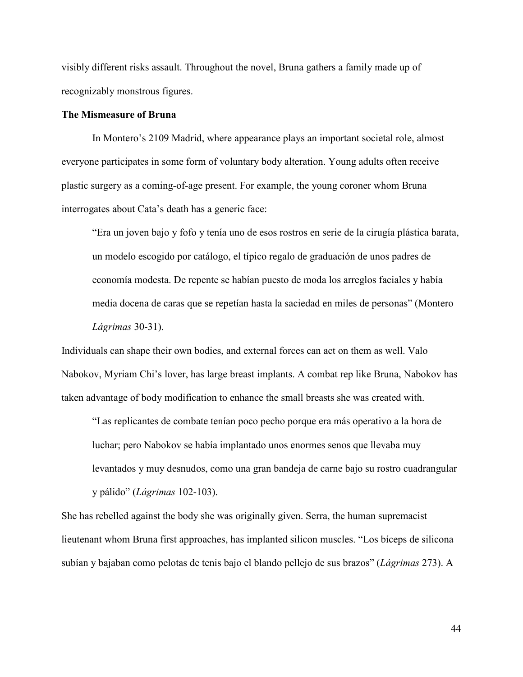visibly different risks assault. Throughout the novel, Bruna gathers a family made up of recognizably monstrous figures.

# **The Mismeasure of Bruna**

In Montero's 2109 Madrid, where appearance plays an important societal role, almost everyone participates in some form of voluntary body alteration. Young adults often receive plastic surgery as a coming-of-age present. For example, the young coroner whom Bruna interrogates about Cata's death has a generic face:

"Era un joven bajo y fofo y tenía uno de esos rostros en serie de la cirugía plástica barata, un modelo escogido por catálogo, el típico regalo de graduación de unos padres de economía modesta. De repente se habían puesto de moda los arreglos faciales y había media docena de caras que se repetían hasta la saciedad en miles de personas" (Montero *Lágrimas* 30-31).

Individuals can shape their own bodies, and external forces can act on them as well. Valo Nabokov, Myriam Chi's lover, has large breast implants. A combat rep like Bruna, Nabokov has taken advantage of body modification to enhance the small breasts she was created with.

"Las replicantes de combate tenían poco pecho porque era más operativo a la hora de luchar; pero Nabokov se había implantado unos enormes senos que llevaba muy levantados y muy desnudos, como una gran bandeja de carne bajo su rostro cuadrangular y pálido" (*Lágrimas* 102-103).

She has rebelled against the body she was originally given. Serra, the human supremacist lieutenant whom Bruna first approaches, has implanted silicon muscles. "Los bíceps de silicona subían y bajaban como pelotas de tenis bajo el blando pellejo de sus brazos" (*Lágrimas* 273). A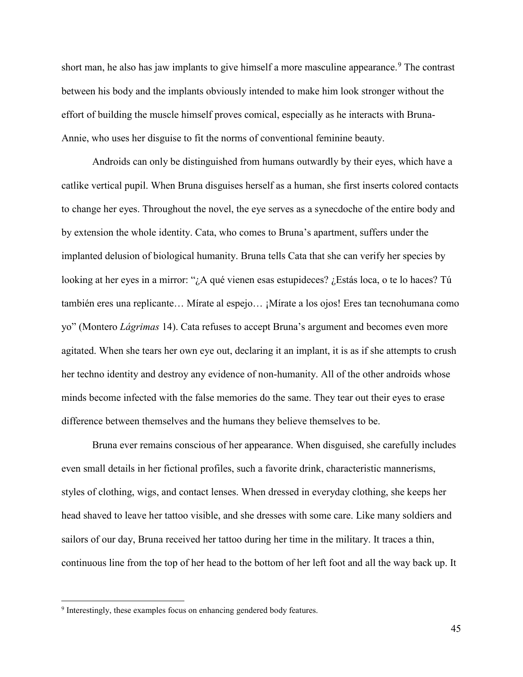short man, he also has jaw implants to give himself a more masculine appearance.<sup>[9](#page-48-0)</sup> The contrast between his body and the implants obviously intended to make him look stronger without the effort of building the muscle himself proves comical, especially as he interacts with Bruna-Annie, who uses her disguise to fit the norms of conventional feminine beauty.

Androids can only be distinguished from humans outwardly by their eyes, which have a catlike vertical pupil. When Bruna disguises herself as a human, she first inserts colored contacts to change her eyes. Throughout the novel, the eye serves as a synecdoche of the entire body and by extension the whole identity. Cata, who comes to Bruna's apartment, suffers under the implanted delusion of biological humanity. Bruna tells Cata that she can verify her species by looking at her eyes in a mirror: "¿A qué vienen esas estupideces? ¿Estás loca, o te lo haces? Tú también eres una replicante… Mírate al espejo… ¡Mírate a los ojos! Eres tan tecnohumana como yo" (Montero *Lágrimas* 14). Cata refuses to accept Bruna's argument and becomes even more agitated. When she tears her own eye out, declaring it an implant, it is as if she attempts to crush her techno identity and destroy any evidence of non-humanity. All of the other androids whose minds become infected with the false memories do the same. They tear out their eyes to erase difference between themselves and the humans they believe themselves to be.

Bruna ever remains conscious of her appearance. When disguised, she carefully includes even small details in her fictional profiles, such a favorite drink, characteristic mannerisms, styles of clothing, wigs, and contact lenses. When dressed in everyday clothing, she keeps her head shaved to leave her tattoo visible, and she dresses with some care. Like many soldiers and sailors of our day, Bruna received her tattoo during her time in the military. It traces a thin, continuous line from the top of her head to the bottom of her left foot and all the way back up. It

l

<span id="page-48-0"></span><sup>&</sup>lt;sup>9</sup> Interestingly, these examples focus on enhancing gendered body features.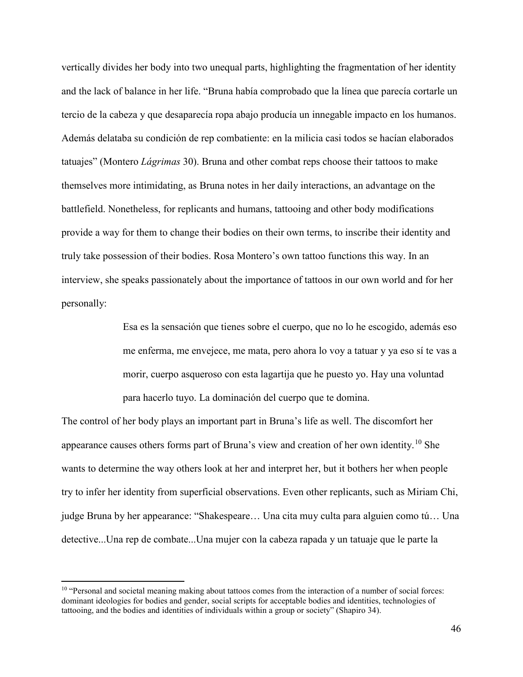vertically divides her body into two unequal parts, highlighting the fragmentation of her identity and the lack of balance in her life. "Bruna había comprobado que la línea que parecía cortarle un tercio de la cabeza y que desaparecía ropa abajo producía un innegable impacto en los humanos. Además delataba su condición de rep combatiente: en la milicia casi todos se hacían elaborados tatuajes" (Montero *Lágrimas* 30). Bruna and other combat reps choose their tattoos to make themselves more intimidating, as Bruna notes in her daily interactions, an advantage on the battlefield. Nonetheless, for replicants and humans, tattooing and other body modifications provide a way for them to change their bodies on their own terms, to inscribe their identity and truly take possession of their bodies. Rosa Montero's own tattoo functions this way. In an interview, she speaks passionately about the importance of tattoos in our own world and for her personally:

> Esa es la sensación que tienes sobre el cuerpo, que no lo he escogido, además eso me enferma, me envejece, me mata, pero ahora lo voy a tatuar y ya eso sí te vas a morir, cuerpo asqueroso con esta lagartija que he puesto yo. Hay una voluntad para hacerlo tuyo. La dominación del cuerpo que te domina.

The control of her body plays an important part in Bruna's life as well. The discomfort her appearance causes others forms part of Bruna's view and creation of her own identity.[10](#page-49-0) She wants to determine the way others look at her and interpret her, but it bothers her when people try to infer her identity from superficial observations. Even other replicants, such as Miriam Chi, judge Bruna by her appearance: "Shakespeare… Una cita muy culta para alguien como tú… Una detective...Una rep de combate...Una mujer con la cabeza rapada y un tatuaje que le parte la

 $\overline{\phantom{a}}$ 

<span id="page-49-0"></span><sup>&</sup>lt;sup>10</sup> "Personal and societal meaning making about tattoos comes from the interaction of a number of social forces: dominant ideologies for bodies and gender, social scripts for acceptable bodies and identities, technologies of tattooing, and the bodies and identities of individuals within a group or society" (Shapiro 34).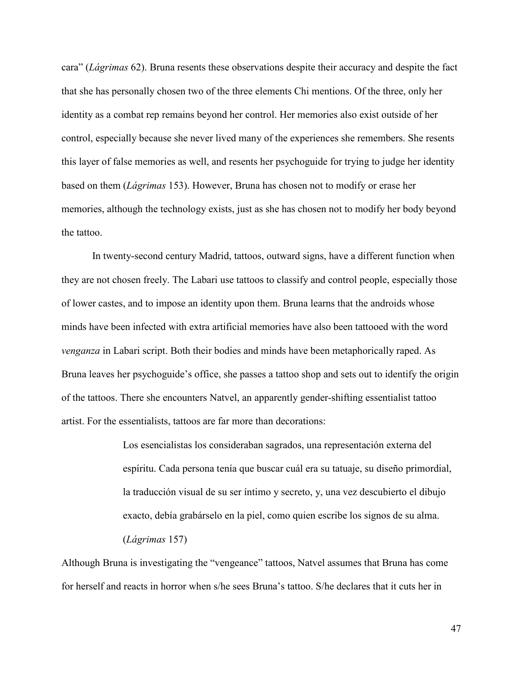cara" (*Lágrimas* 62). Bruna resents these observations despite their accuracy and despite the fact that she has personally chosen two of the three elements Chi mentions. Of the three, only her identity as a combat rep remains beyond her control. Her memories also exist outside of her control, especially because she never lived many of the experiences she remembers. She resents this layer of false memories as well, and resents her psychoguide for trying to judge her identity based on them (*Lágrimas* 153). However, Bruna has chosen not to modify or erase her memories, although the technology exists, just as she has chosen not to modify her body beyond the tattoo.

In twenty-second century Madrid, tattoos, outward signs, have a different function when they are not chosen freely. The Labari use tattoos to classify and control people, especially those of lower castes, and to impose an identity upon them. Bruna learns that the androids whose minds have been infected with extra artificial memories have also been tattooed with the word *venganza* in Labari script. Both their bodies and minds have been metaphorically raped. As Bruna leaves her psychoguide's office, she passes a tattoo shop and sets out to identify the origin of the tattoos. There she encounters Natvel, an apparently gender-shifting essentialist tattoo artist. For the essentialists, tattoos are far more than decorations:

> Los esencialistas los consideraban sagrados, una representación externa del espíritu. Cada persona tenía que buscar cuál era su tatuaje, su diseño primordial, la traducción visual de su ser íntimo y secreto, y, una vez descubierto el dibujo exacto, debía grabárselo en la piel, como quien escribe los signos de su alma. (*Lágrimas* 157)

Although Bruna is investigating the "vengeance" tattoos, Natvel assumes that Bruna has come for herself and reacts in horror when s/he sees Bruna's tattoo. S/he declares that it cuts her in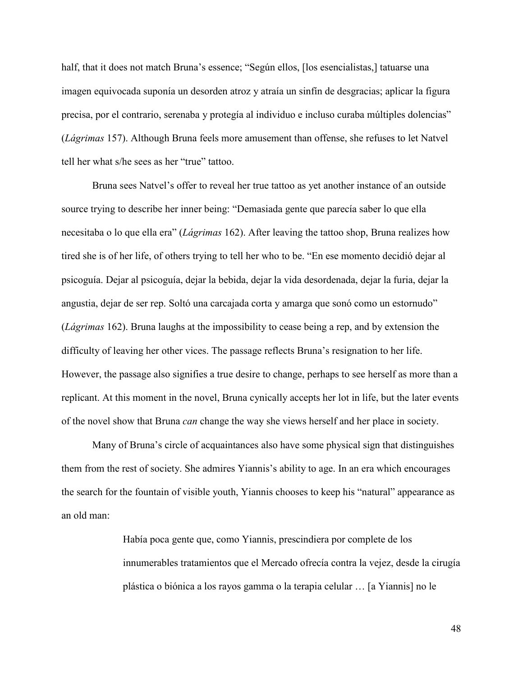half, that it does not match Bruna's essence; "Según ellos, [los esencialistas,] tatuarse una imagen equivocada suponía un desorden atroz y atraía un sinfín de desgracias; aplicar la figura precisa, por el contrario, serenaba y protegía al individuo e incluso curaba múltiples dolencias" (*Lágrimas* 157). Although Bruna feels more amusement than offense, she refuses to let Natvel tell her what s/he sees as her "true" tattoo.

Bruna sees Natvel's offer to reveal her true tattoo as yet another instance of an outside source trying to describe her inner being: "Demasiada gente que parecía saber lo que ella necesitaba o lo que ella era" (*Lágrimas* 162). After leaving the tattoo shop, Bruna realizes how tired she is of her life, of others trying to tell her who to be. "En ese momento decidió dejar al psicoguía. Dejar al psicoguía, dejar la bebida, dejar la vida desordenada, dejar la furia, dejar la angustia, dejar de ser rep. Soltó una carcajada corta y amarga que sonó como un estornudo" (*Lágrimas* 162). Bruna laughs at the impossibility to cease being a rep, and by extension the difficulty of leaving her other vices. The passage reflects Bruna's resignation to her life. However, the passage also signifies a true desire to change, perhaps to see herself as more than a replicant. At this moment in the novel, Bruna cynically accepts her lot in life, but the later events of the novel show that Bruna *can* change the way she views herself and her place in society.

Many of Bruna's circle of acquaintances also have some physical sign that distinguishes them from the rest of society. She admires Yiannis's ability to age. In an era which encourages the search for the fountain of visible youth, Yiannis chooses to keep his "natural" appearance as an old man:

> Había poca gente que, como Yiannis, prescindiera por complete de los innumerables tratamientos que el Mercado ofrecía contra la vejez, desde la cirugía plástica o biónica a los rayos gamma o la terapia celular … [a Yiannis] no le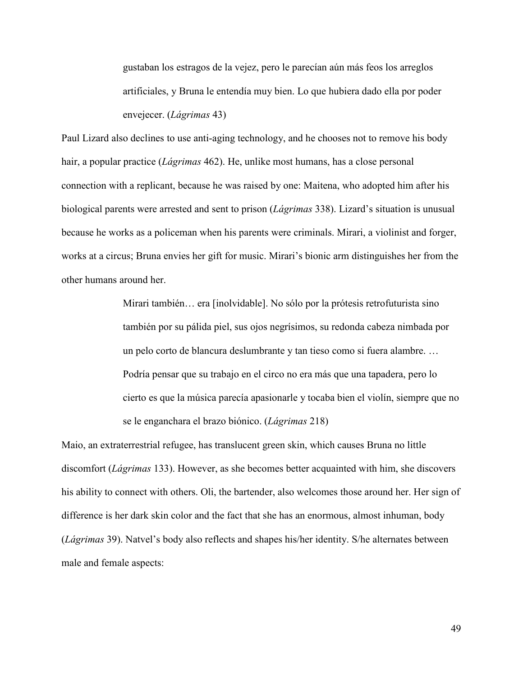gustaban los estragos de la vejez, pero le parecían aún más feos los arreglos artificiales, y Bruna le entendía muy bien. Lo que hubiera dado ella por poder envejecer. (*Lágrimas* 43)

Paul Lizard also declines to use anti-aging technology, and he chooses not to remove his body hair, a popular practice (*Lágrimas* 462). He, unlike most humans, has a close personal connection with a replicant, because he was raised by one: Maitena, who adopted him after his biological parents were arrested and sent to prison (*Lágrimas* 338). Lizard's situation is unusual because he works as a policeman when his parents were criminals. Mirari, a violinist and forger, works at a circus; Bruna envies her gift for music. Mirari's bionic arm distinguishes her from the other humans around her.

> Mirari también… era [inolvidable]. No sólo por la prótesis retrofuturista sino también por su pálida piel, sus ojos negrísimos, su redonda cabeza nimbada por un pelo corto de blancura deslumbrante y tan tieso como si fuera alambre. … Podría pensar que su trabajo en el circo no era más que una tapadera, pero lo cierto es que la música parecía apasionarle y tocaba bien el violín, siempre que no se le enganchara el brazo biónico. (*Lágrimas* 218)

Maio, an extraterrestrial refugee, has translucent green skin, which causes Bruna no little discomfort (*Lágrimas* 133). However, as she becomes better acquainted with him, she discovers his ability to connect with others. Oli, the bartender, also welcomes those around her. Her sign of difference is her dark skin color and the fact that she has an enormous, almost inhuman, body (*Lágrimas* 39). Natvel's body also reflects and shapes his/her identity. S/he alternates between male and female aspects: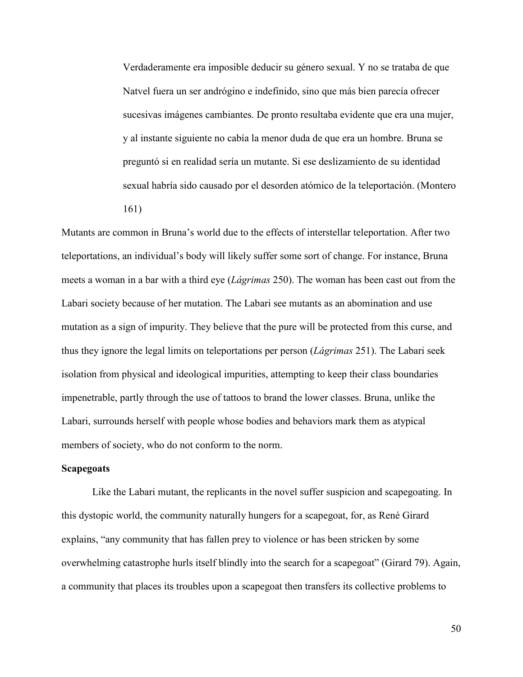Verdaderamente era imposible deducir su género sexual. Y no se trataba de que Natvel fuera un ser andrógino e indefinido, sino que más bien parecía ofrecer sucesivas imágenes cambiantes. De pronto resultaba evidente que era una mujer, y al instante siguiente no cabía la menor duda de que era un hombre. Bruna se preguntó si en realidad sería un mutante. Si ese deslizamiento de su identidad sexual habría sido causado por el desorden atómico de la teleportación. (Montero 161)

Mutants are common in Bruna's world due to the effects of interstellar teleportation. After two teleportations, an individual's body will likely suffer some sort of change. For instance, Bruna meets a woman in a bar with a third eye (*Lágrimas* 250). The woman has been cast out from the Labari society because of her mutation. The Labari see mutants as an abomination and use mutation as a sign of impurity. They believe that the pure will be protected from this curse, and thus they ignore the legal limits on teleportations per person (*Lágrimas* 251). The Labari seek isolation from physical and ideological impurities, attempting to keep their class boundaries impenetrable, partly through the use of tattoos to brand the lower classes. Bruna, unlike the Labari, surrounds herself with people whose bodies and behaviors mark them as atypical members of society, who do not conform to the norm.

# **Scapegoats**

Like the Labari mutant, the replicants in the novel suffer suspicion and scapegoating. In this dystopic world, the community naturally hungers for a scapegoat, for, as René Girard explains, "any community that has fallen prey to violence or has been stricken by some overwhelming catastrophe hurls itself blindly into the search for a scapegoat" (Girard 79). Again, a community that places its troubles upon a scapegoat then transfers its collective problems to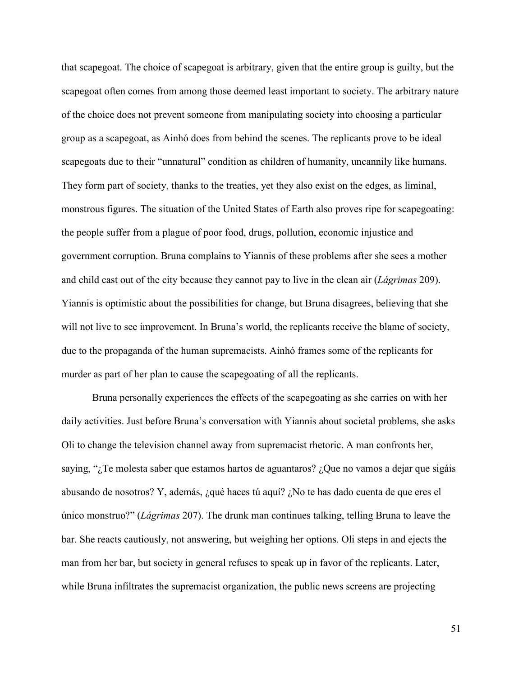that scapegoat. The choice of scapegoat is arbitrary, given that the entire group is guilty, but the scapegoat often comes from among those deemed least important to society. The arbitrary nature of the choice does not prevent someone from manipulating society into choosing a particular group as a scapegoat, as Ainhó does from behind the scenes. The replicants prove to be ideal scapegoats due to their "unnatural" condition as children of humanity, uncannily like humans. They form part of society, thanks to the treaties, yet they also exist on the edges, as liminal, monstrous figures. The situation of the United States of Earth also proves ripe for scapegoating: the people suffer from a plague of poor food, drugs, pollution, economic injustice and government corruption. Bruna complains to Yiannis of these problems after she sees a mother and child cast out of the city because they cannot pay to live in the clean air (*Lágrimas* 209). Yiannis is optimistic about the possibilities for change, but Bruna disagrees, believing that she will not live to see improvement. In Bruna's world, the replicants receive the blame of society, due to the propaganda of the human supremacists. Ainhó frames some of the replicants for murder as part of her plan to cause the scapegoating of all the replicants.

Bruna personally experiences the effects of the scapegoating as she carries on with her daily activities. Just before Bruna's conversation with Yiannis about societal problems, she asks Oli to change the television channel away from supremacist rhetoric. A man confronts her, saying, "¿Te molesta saber que estamos hartos de aguantaros? ¿Que no vamos a dejar que sigáis abusando de nosotros? Y, además, ¿qué haces tú aquí? ¿No te has dado cuenta de que eres el único monstruo?" (*Lágrimas* 207). The drunk man continues talking, telling Bruna to leave the bar. She reacts cautiously, not answering, but weighing her options. Oli steps in and ejects the man from her bar, but society in general refuses to speak up in favor of the replicants. Later, while Bruna infiltrates the supremacist organization, the public news screens are projecting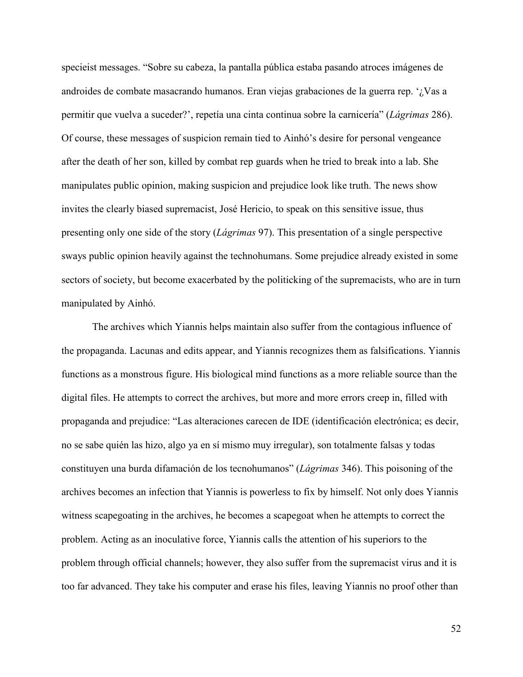specieist messages. "Sobre su cabeza, la pantalla pública estaba pasando atroces imágenes de androides de combate masacrando humanos. Eran viejas grabaciones de la guerra rep. '¿Vas a permitir que vuelva a suceder?', repetía una cinta continua sobre la carnicería" (*Lágrimas* 286). Of course, these messages of suspicion remain tied to Ainhó's desire for personal vengeance after the death of her son, killed by combat rep guards when he tried to break into a lab. She manipulates public opinion, making suspicion and prejudice look like truth. The news show invites the clearly biased supremacist, José Hericio, to speak on this sensitive issue, thus presenting only one side of the story (*Lágrimas* 97). This presentation of a single perspective sways public opinion heavily against the technohumans. Some prejudice already existed in some sectors of society, but become exacerbated by the politicking of the supremacists, who are in turn manipulated by Ainhó.

The archives which Yiannis helps maintain also suffer from the contagious influence of the propaganda. Lacunas and edits appear, and Yiannis recognizes them as falsifications. Yiannis functions as a monstrous figure. His biological mind functions as a more reliable source than the digital files. He attempts to correct the archives, but more and more errors creep in, filled with propaganda and prejudice: "Las alteraciones carecen de IDE (identificación electrónica; es decir, no se sabe quién las hizo, algo ya en sí mismo muy irregular), son totalmente falsas y todas constituyen una burda difamación de los tecnohumanos" (*Lágrimas* 346). This poisoning of the archives becomes an infection that Yiannis is powerless to fix by himself. Not only does Yiannis witness scapegoating in the archives, he becomes a scapegoat when he attempts to correct the problem. Acting as an inoculative force, Yiannis calls the attention of his superiors to the problem through official channels; however, they also suffer from the supremacist virus and it is too far advanced. They take his computer and erase his files, leaving Yiannis no proof other than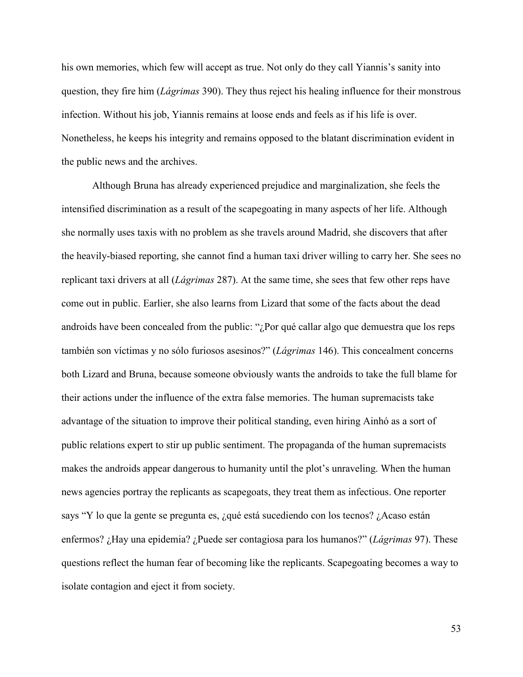his own memories, which few will accept as true. Not only do they call Yiannis's sanity into question, they fire him (*Lágrimas* 390). They thus reject his healing influence for their monstrous infection. Without his job, Yiannis remains at loose ends and feels as if his life is over. Nonetheless, he keeps his integrity and remains opposed to the blatant discrimination evident in the public news and the archives.

Although Bruna has already experienced prejudice and marginalization, she feels the intensified discrimination as a result of the scapegoating in many aspects of her life. Although she normally uses taxis with no problem as she travels around Madrid, she discovers that after the heavily-biased reporting, she cannot find a human taxi driver willing to carry her. She sees no replicant taxi drivers at all (*Lágrimas* 287). At the same time, she sees that few other reps have come out in public. Earlier, she also learns from Lizard that some of the facts about the dead androids have been concealed from the public: "¿Por qué callar algo que demuestra que los reps también son víctimas y no sólo furiosos asesinos?" (*Lágrimas* 146). This concealment concerns both Lizard and Bruna, because someone obviously wants the androids to take the full blame for their actions under the influence of the extra false memories. The human supremacists take advantage of the situation to improve their political standing, even hiring Ainhó as a sort of public relations expert to stir up public sentiment. The propaganda of the human supremacists makes the androids appear dangerous to humanity until the plot's unraveling. When the human news agencies portray the replicants as scapegoats, they treat them as infectious. One reporter says "Y lo que la gente se pregunta es, ¿qué está sucediendo con los tecnos? ¿Acaso están enfermos? ¿Hay una epidemia? ¿Puede ser contagiosa para los humanos?" (*Lágrimas* 97). These questions reflect the human fear of becoming like the replicants. Scapegoating becomes a way to isolate contagion and eject it from society.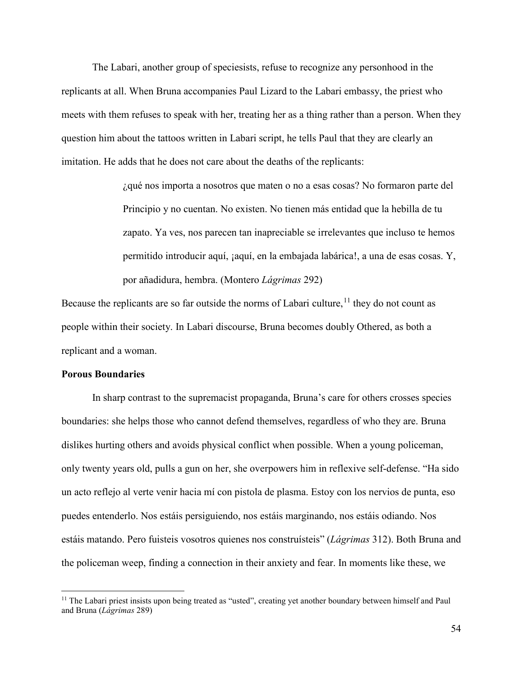The Labari, another group of speciesists, refuse to recognize any personhood in the replicants at all. When Bruna accompanies Paul Lizard to the Labari embassy, the priest who meets with them refuses to speak with her, treating her as a thing rather than a person. When they question him about the tattoos written in Labari script, he tells Paul that they are clearly an imitation. He adds that he does not care about the deaths of the replicants:

> ¿qué nos importa a nosotros que maten o no a esas cosas? No formaron parte del Principio y no cuentan. No existen. No tienen más entidad que la hebilla de tu zapato. Ya ves, nos parecen tan inapreciable se irrelevantes que incluso te hemos permitido introducir aquí, ¡aquí, en la embajada labárica!, a una de esas cosas. Y, por añadidura, hembra. (Montero *Lágrimas* 292)

Because the replicants are so far outside the norms of Labari culture,  $^{11}$  $^{11}$  $^{11}$  they do not count as people within their society. In Labari discourse, Bruna becomes doubly Othered, as both a replicant and a woman.

### **Porous Boundaries**

l

In sharp contrast to the supremacist propaganda, Bruna's care for others crosses species boundaries: she helps those who cannot defend themselves, regardless of who they are. Bruna dislikes hurting others and avoids physical conflict when possible. When a young policeman, only twenty years old, pulls a gun on her, she overpowers him in reflexive self-defense. "Ha sido un acto reflejo al verte venir hacia mí con pistola de plasma. Estoy con los nervios de punta, eso puedes entenderlo. Nos estáis persiguiendo, nos estáis marginando, nos estáis odiando. Nos estáis matando. Pero fuisteis vosotros quienes nos construísteis" (*Lágrimas* 312). Both Bruna and the policeman weep, finding a connection in their anxiety and fear. In moments like these, we

<span id="page-57-0"></span><sup>&</sup>lt;sup>11</sup> The Labari priest insists upon being treated as "usted", creating yet another boundary between himself and Paul and Bruna (*Lágrimas* 289)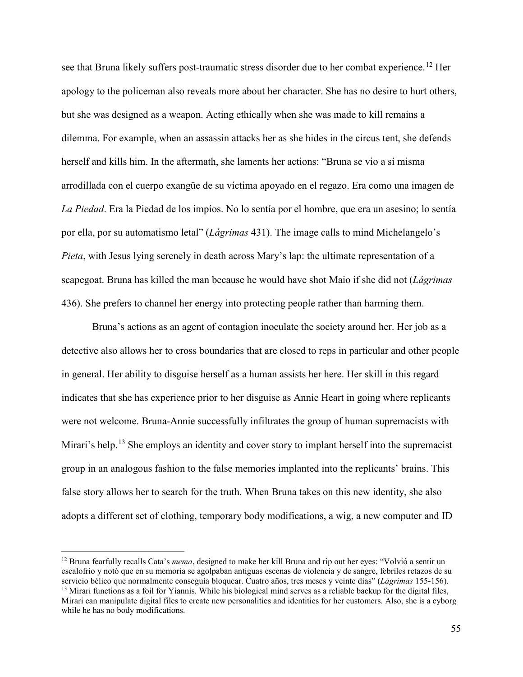see that Bruna likely suffers post-traumatic stress disorder due to her combat experience.<sup>[12](#page-58-0)</sup> Her apology to the policeman also reveals more about her character. She has no desire to hurt others, but she was designed as a weapon. Acting ethically when she was made to kill remains a dilemma. For example, when an assassin attacks her as she hides in the circus tent, she defends herself and kills him. In the aftermath, she laments her actions: "Bruna se vio a sí misma arrodillada con el cuerpo exangüe de su víctima apoyado en el regazo. Era como una imagen de *La Piedad*. Era la Piedad de los impíos. No lo sentía por el hombre, que era un asesino; lo sentía por ella, por su automatismo letal" (*Lágrimas* 431). The image calls to mind Michelangelo's *Pieta*, with Jesus lying serenely in death across Mary's lap: the ultimate representation of a scapegoat. Bruna has killed the man because he would have shot Maio if she did not (*Lágrimas*  436). She prefers to channel her energy into protecting people rather than harming them.

Bruna's actions as an agent of contagion inoculate the society around her. Her job as a detective also allows her to cross boundaries that are closed to reps in particular and other people in general. Her ability to disguise herself as a human assists her here. Her skill in this regard indicates that she has experience prior to her disguise as Annie Heart in going where replicants were not welcome. Bruna-Annie successfully infiltrates the group of human supremacists with Mirari's help.<sup>[13](#page-58-1)</sup> She employs an identity and cover story to implant herself into the supremacist group in an analogous fashion to the false memories implanted into the replicants' brains. This false story allows her to search for the truth. When Bruna takes on this new identity, she also adopts a different set of clothing, temporary body modifications, a wig, a new computer and ID

 $\overline{\phantom{a}}$ 

<span id="page-58-1"></span><span id="page-58-0"></span><sup>12</sup> Bruna fearfully recalls Cata's *mema*, designed to make her kill Bruna and rip out her eyes: "Volvió a sentir un escalofrío y notó que en su memoria se agolpaban antiguas escenas de violencia y de sangre, febriles retazos de su servicio bélico que normalmente conseguía bloquear. Cuatro años, tres meses y veinte días" (*Lágrimas* 155-156).  $<sup>13</sup>$  Mirari functions as a foil for Yiannis. While his biological mind serves as a reliable backup for the digital files,</sup> Mirari can manipulate digital files to create new personalities and identities for her customers. Also, she is a cyborg while he has no body modifications.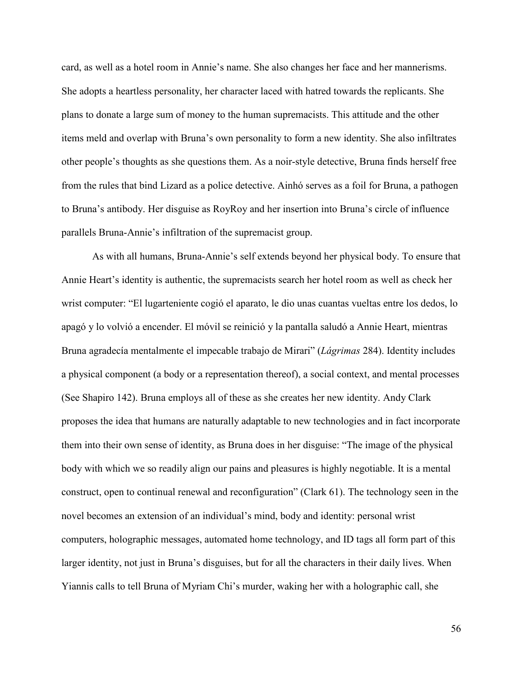card, as well as a hotel room in Annie's name. She also changes her face and her mannerisms. She adopts a heartless personality, her character laced with hatred towards the replicants. She plans to donate a large sum of money to the human supremacists. This attitude and the other items meld and overlap with Bruna's own personality to form a new identity. She also infiltrates other people's thoughts as she questions them. As a noir-style detective, Bruna finds herself free from the rules that bind Lizard as a police detective. Ainhó serves as a foil for Bruna, a pathogen to Bruna's antibody. Her disguise as RoyRoy and her insertion into Bruna's circle of influence parallels Bruna-Annie's infiltration of the supremacist group.

As with all humans, Bruna-Annie's self extends beyond her physical body. To ensure that Annie Heart's identity is authentic, the supremacists search her hotel room as well as check her wrist computer: "El lugarteniente cogió el aparato, le dio unas cuantas vueltas entre los dedos, lo apagó y lo volvió a encender. El móvil se reinició y la pantalla saludó a Annie Heart, mientras Bruna agradecía mentalmente el impecable trabajo de Mirari" (*Lágrimas* 284). Identity includes a physical component (a body or a representation thereof), a social context, and mental processes (See Shapiro 142). Bruna employs all of these as she creates her new identity. Andy Clark proposes the idea that humans are naturally adaptable to new technologies and in fact incorporate them into their own sense of identity, as Bruna does in her disguise: "The image of the physical body with which we so readily align our pains and pleasures is highly negotiable. It is a mental construct, open to continual renewal and reconfiguration" (Clark 61). The technology seen in the novel becomes an extension of an individual's mind, body and identity: personal wrist computers, holographic messages, automated home technology, and ID tags all form part of this larger identity, not just in Bruna's disguises, but for all the characters in their daily lives. When Yiannis calls to tell Bruna of Myriam Chi's murder, waking her with a holographic call, she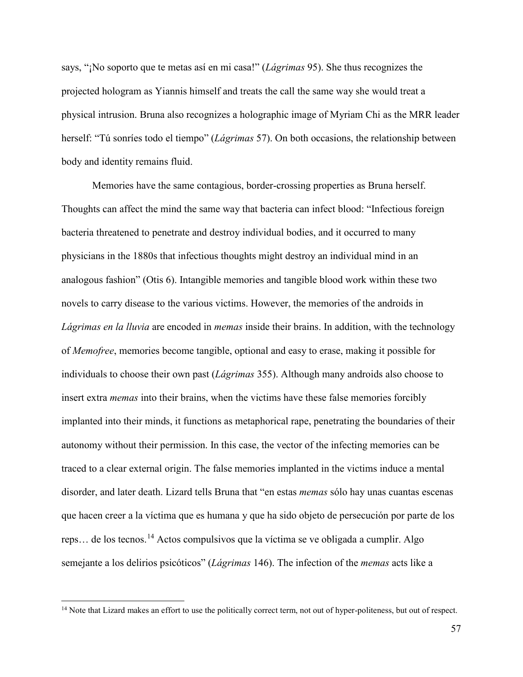says, "¡No soporto que te metas así en mi casa!" (*Lágrimas* 95). She thus recognizes the projected hologram as Yiannis himself and treats the call the same way she would treat a physical intrusion. Bruna also recognizes a holographic image of Myriam Chi as the MRR leader herself: "Tú sonríes todo el tiempo" (*Lágrimas* 57). On both occasions, the relationship between body and identity remains fluid.

Memories have the same contagious, border-crossing properties as Bruna herself. Thoughts can affect the mind the same way that bacteria can infect blood: "Infectious foreign bacteria threatened to penetrate and destroy individual bodies, and it occurred to many physicians in the 1880s that infectious thoughts might destroy an individual mind in an analogous fashion" (Otis 6). Intangible memories and tangible blood work within these two novels to carry disease to the various victims. However, the memories of the androids in *Lágrimas en la lluvia* are encoded in *memas* inside their brains. In addition, with the technology of *Memofree*, memories become tangible, optional and easy to erase, making it possible for individuals to choose their own past (*Lágrimas* 355). Although many androids also choose to insert extra *memas* into their brains, when the victims have these false memories forcibly implanted into their minds, it functions as metaphorical rape, penetrating the boundaries of their autonomy without their permission. In this case, the vector of the infecting memories can be traced to a clear external origin. The false memories implanted in the victims induce a mental disorder, and later death. Lizard tells Bruna that "en estas *memas* sólo hay unas cuantas escenas que hacen creer a la víctima que es humana y que ha sido objeto de persecución por parte de los reps… de los tecnos.[14](#page-60-0) Actos compulsivos que la víctima se ve obligada a cumplir. Algo semejante a los delirios psicóticos" (*Lágrimas* 146). The infection of the *memas* acts like a

l

<span id="page-60-0"></span><sup>&</sup>lt;sup>14</sup> Note that Lizard makes an effort to use the politically correct term, not out of hyper-politeness, but out of respect.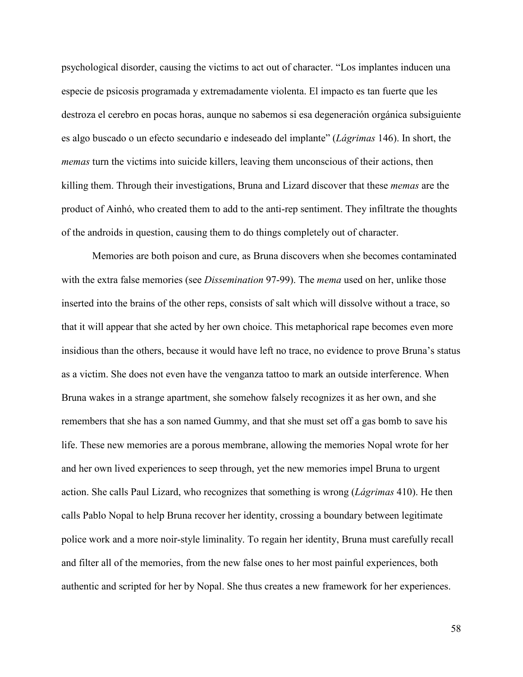psychological disorder, causing the victims to act out of character. "Los implantes inducen una especie de psicosis programada y extremadamente violenta. El impacto es tan fuerte que les destroza el cerebro en pocas horas, aunque no sabemos si esa degeneración orgánica subsiguiente es algo buscado o un efecto secundario e indeseado del implante" (*Lágrimas* 146). In short, the *memas* turn the victims into suicide killers, leaving them unconscious of their actions, then killing them. Through their investigations, Bruna and Lizard discover that these *memas* are the product of Ainhó, who created them to add to the anti-rep sentiment. They infiltrate the thoughts of the androids in question, causing them to do things completely out of character.

Memories are both poison and cure, as Bruna discovers when she becomes contaminated with the extra false memories (see *Dissemination* 97-99). The *mema* used on her, unlike those inserted into the brains of the other reps, consists of salt which will dissolve without a trace, so that it will appear that she acted by her own choice. This metaphorical rape becomes even more insidious than the others, because it would have left no trace, no evidence to prove Bruna's status as a victim. She does not even have the venganza tattoo to mark an outside interference. When Bruna wakes in a strange apartment, she somehow falsely recognizes it as her own, and she remembers that she has a son named Gummy, and that she must set off a gas bomb to save his life. These new memories are a porous membrane, allowing the memories Nopal wrote for her and her own lived experiences to seep through, yet the new memories impel Bruna to urgent action. She calls Paul Lizard, who recognizes that something is wrong (*Lágrimas* 410). He then calls Pablo Nopal to help Bruna recover her identity, crossing a boundary between legitimate police work and a more noir-style liminality. To regain her identity, Bruna must carefully recall and filter all of the memories, from the new false ones to her most painful experiences, both authentic and scripted for her by Nopal. She thus creates a new framework for her experiences.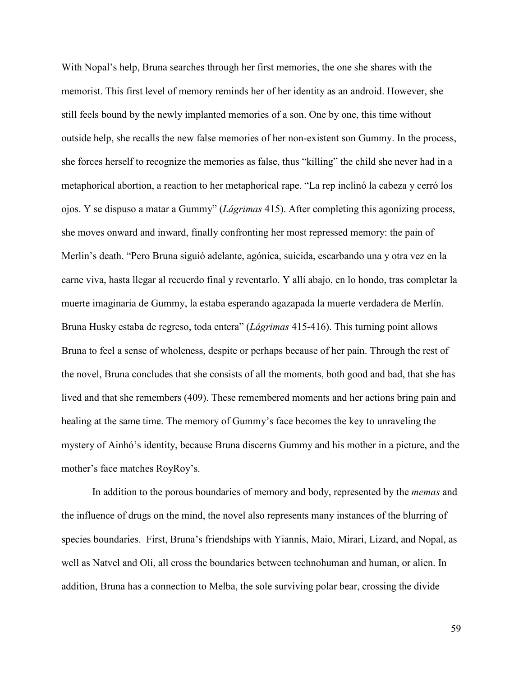With Nopal's help, Bruna searches through her first memories, the one she shares with the memorist. This first level of memory reminds her of her identity as an android. However, she still feels bound by the newly implanted memories of a son. One by one, this time without outside help, she recalls the new false memories of her non-existent son Gummy. In the process, she forces herself to recognize the memories as false, thus "killing" the child she never had in a metaphorical abortion, a reaction to her metaphorical rape. "La rep inclinó la cabeza y cerró los ojos. Y se dispuso a matar a Gummy" (*Lágrimas* 415). After completing this agonizing process, she moves onward and inward, finally confronting her most repressed memory: the pain of Merlin's death. "Pero Bruna siguió adelante, agónica, suicida, escarbando una y otra vez en la carne viva, hasta llegar al recuerdo final y reventarlo. Y allí abajo, en lo hondo, tras completar la muerte imaginaria de Gummy, la estaba esperando agazapada la muerte verdadera de Merlín. Bruna Husky estaba de regreso, toda entera" (*Lágrimas* 415-416). This turning point allows Bruna to feel a sense of wholeness, despite or perhaps because of her pain. Through the rest of the novel, Bruna concludes that she consists of all the moments, both good and bad, that she has lived and that she remembers (409). These remembered moments and her actions bring pain and healing at the same time. The memory of Gummy's face becomes the key to unraveling the mystery of Ainhó's identity, because Bruna discerns Gummy and his mother in a picture, and the mother's face matches RoyRoy's.

In addition to the porous boundaries of memory and body, represented by the *memas* and the influence of drugs on the mind, the novel also represents many instances of the blurring of species boundaries. First, Bruna's friendships with Yiannis, Maio, Mirari, Lizard, and Nopal, as well as Natvel and Oli, all cross the boundaries between technohuman and human, or alien. In addition, Bruna has a connection to Melba, the sole surviving polar bear, crossing the divide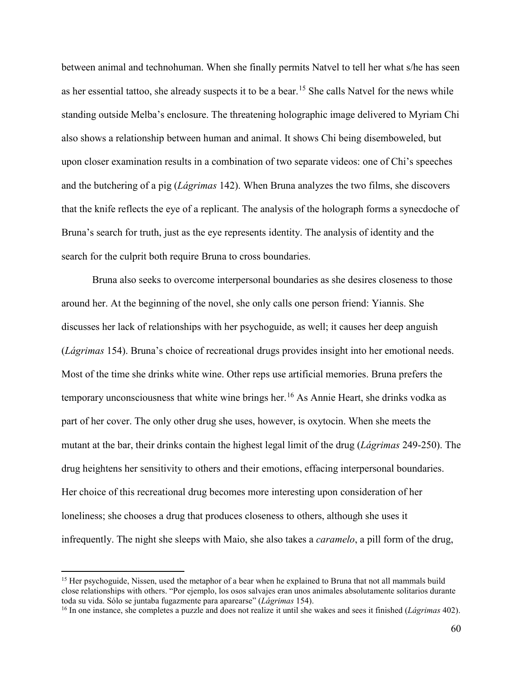between animal and technohuman. When she finally permits Natvel to tell her what s/he has seen as her essential tattoo, she already suspects it to be a bear.<sup>[15](#page-63-0)</sup> She calls Natvel for the news while standing outside Melba's enclosure. The threatening holographic image delivered to Myriam Chi also shows a relationship between human and animal. It shows Chi being disemboweled, but upon closer examination results in a combination of two separate videos: one of Chi's speeches and the butchering of a pig (*Lágrimas* 142). When Bruna analyzes the two films, she discovers that the knife reflects the eye of a replicant. The analysis of the holograph forms a synecdoche of Bruna's search for truth, just as the eye represents identity. The analysis of identity and the search for the culprit both require Bruna to cross boundaries.

Bruna also seeks to overcome interpersonal boundaries as she desires closeness to those around her. At the beginning of the novel, she only calls one person friend: Yiannis. She discusses her lack of relationships with her psychoguide, as well; it causes her deep anguish (*Lágrimas* 154). Bruna's choice of recreational drugs provides insight into her emotional needs. Most of the time she drinks white wine. Other reps use artificial memories. Bruna prefers the temporary unconsciousness that white wine brings her.<sup>[16](#page-63-1)</sup> As Annie Heart, she drinks vodka as part of her cover. The only other drug she uses, however, is oxytocin. When she meets the mutant at the bar, their drinks contain the highest legal limit of the drug (*Lágrimas* 249-250). The drug heightens her sensitivity to others and their emotions, effacing interpersonal boundaries. Her choice of this recreational drug becomes more interesting upon consideration of her loneliness; she chooses a drug that produces closeness to others, although she uses it infrequently. The night she sleeps with Maio, she also takes a *caramelo*, a pill form of the drug,

l

<span id="page-63-0"></span><sup>&</sup>lt;sup>15</sup> Her psychoguide, Nissen, used the metaphor of a bear when he explained to Bruna that not all mammals build close relationships with others. "Por ejemplo, los osos salvajes eran unos animales absolutamente solitarios durante toda su vida. Sólo se juntaba fugazmente para aparearse" (*Lágrimas* 154).

<span id="page-63-1"></span><sup>&</sup>lt;sup>16</sup> In one instance, she completes a puzzle and does not realize it until she wakes and sees it finished (*Lágrimas* 402).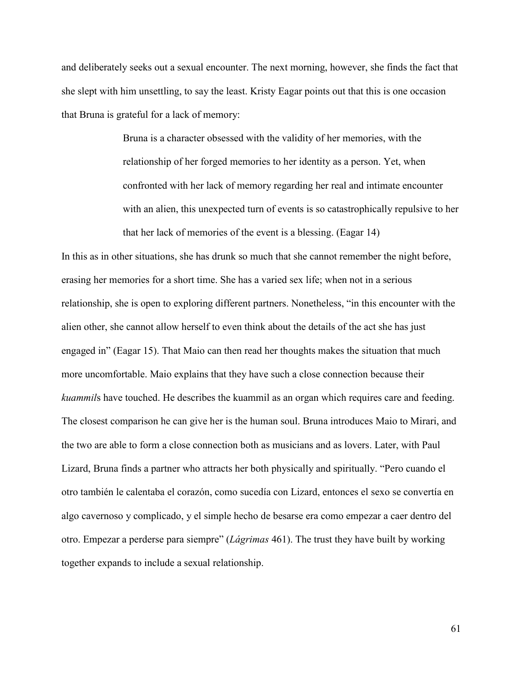and deliberately seeks out a sexual encounter. The next morning, however, she finds the fact that she slept with him unsettling, to say the least. Kristy Eagar points out that this is one occasion that Bruna is grateful for a lack of memory:

> Bruna is a character obsessed with the validity of her memories, with the relationship of her forged memories to her identity as a person. Yet, when confronted with her lack of memory regarding her real and intimate encounter with an alien, this unexpected turn of events is so catastrophically repulsive to her that her lack of memories of the event is a blessing. (Eagar 14)

In this as in other situations, she has drunk so much that she cannot remember the night before, erasing her memories for a short time. She has a varied sex life; when not in a serious relationship, she is open to exploring different partners. Nonetheless, "in this encounter with the alien other, she cannot allow herself to even think about the details of the act she has just engaged in" (Eagar 15). That Maio can then read her thoughts makes the situation that much more uncomfortable. Maio explains that they have such a close connection because their *kuammil*s have touched. He describes the kuammil as an organ which requires care and feeding. The closest comparison he can give her is the human soul. Bruna introduces Maio to Mirari, and the two are able to form a close connection both as musicians and as lovers. Later, with Paul Lizard, Bruna finds a partner who attracts her both physically and spiritually. "Pero cuando el otro también le calentaba el corazón, como sucedía con Lizard, entonces el sexo se convertía en algo cavernoso y complicado, y el simple hecho de besarse era como empezar a caer dentro del otro. Empezar a perderse para siempre" (*Lágrimas* 461). The trust they have built by working together expands to include a sexual relationship.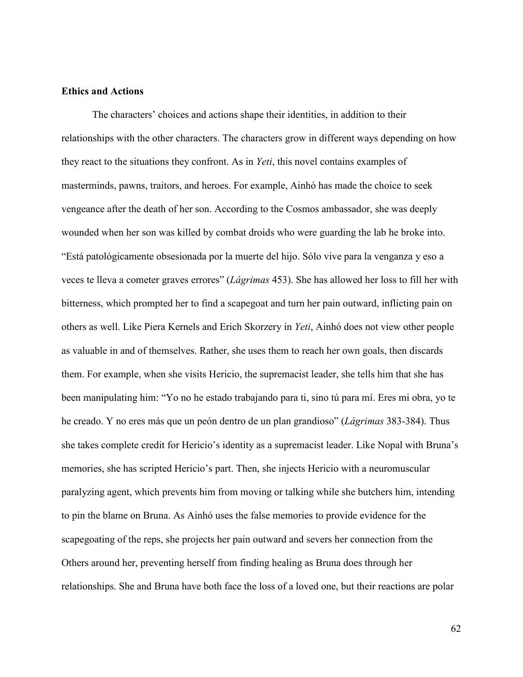# **Ethics and Actions**

The characters' choices and actions shape their identities, in addition to their relationships with the other characters. The characters grow in different ways depending on how they react to the situations they confront. As in *Yeti*, this novel contains examples of masterminds, pawns, traitors, and heroes. For example, Ainhó has made the choice to seek vengeance after the death of her son. According to the Cosmos ambassador, she was deeply wounded when her son was killed by combat droids who were guarding the lab he broke into. "Está patológicamente obsesionada por la muerte del hijo. Sólo vive para la venganza y eso a veces te lleva a cometer graves errores" (*Lágrimas* 453). She has allowed her loss to fill her with bitterness, which prompted her to find a scapegoat and turn her pain outward, inflicting pain on others as well. Like Piera Kernels and Erich Skorzery in *Yeti*, Ainhó does not view other people as valuable in and of themselves. Rather, she uses them to reach her own goals, then discards them. For example, when she visits Hericio, the supremacist leader, she tells him that she has been manipulating him: "Yo no he estado trabajando para ti, sino tú para mí. Eres mi obra, yo te he creado. Y no eres más que un peón dentro de un plan grandioso" (*Lágrimas* 383-384). Thus she takes complete credit for Hericio's identity as a supremacist leader. Like Nopal with Bruna's memories, she has scripted Hericio's part. Then, she injects Hericio with a neuromuscular paralyzing agent, which prevents him from moving or talking while she butchers him, intending to pin the blame on Bruna. As Ainhó uses the false memories to provide evidence for the scapegoating of the reps, she projects her pain outward and severs her connection from the Others around her, preventing herself from finding healing as Bruna does through her relationships. She and Bruna have both face the loss of a loved one, but their reactions are polar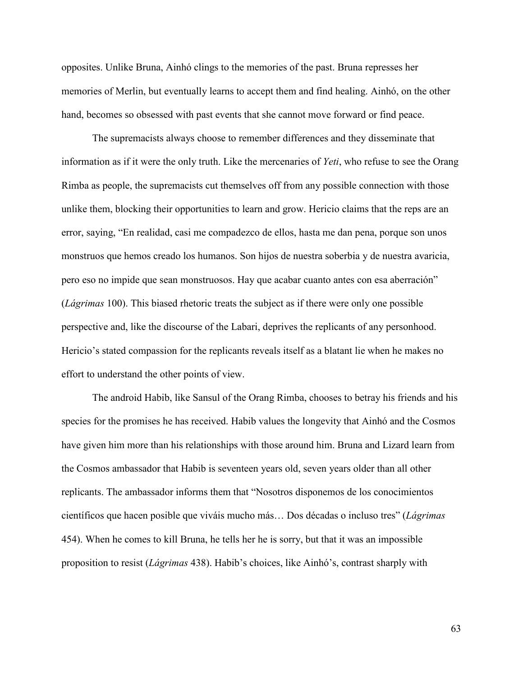opposites. Unlike Bruna, Ainhó clings to the memories of the past. Bruna represses her memories of Merlin, but eventually learns to accept them and find healing. Ainhó, on the other hand, becomes so obsessed with past events that she cannot move forward or find peace.

The supremacists always choose to remember differences and they disseminate that information as if it were the only truth. Like the mercenaries of *Yeti*, who refuse to see the Orang Rimba as people, the supremacists cut themselves off from any possible connection with those unlike them, blocking their opportunities to learn and grow. Hericio claims that the reps are an error, saying, "En realidad, casi me compadezco de ellos, hasta me dan pena, porque son unos monstruos que hemos creado los humanos. Son hijos de nuestra soberbia y de nuestra avaricia, pero eso no impide que sean monstruosos. Hay que acabar cuanto antes con esa aberración" (*Lágrimas* 100). This biased rhetoric treats the subject as if there were only one possible perspective and, like the discourse of the Labari, deprives the replicants of any personhood. Hericio's stated compassion for the replicants reveals itself as a blatant lie when he makes no effort to understand the other points of view.

The android Habib, like Sansul of the Orang Rimba, chooses to betray his friends and his species for the promises he has received. Habib values the longevity that Ainhó and the Cosmos have given him more than his relationships with those around him. Bruna and Lizard learn from the Cosmos ambassador that Habib is seventeen years old, seven years older than all other replicants. The ambassador informs them that "Nosotros disponemos de los conocimientos científicos que hacen posible que viváis mucho más… Dos décadas o incluso tres" (*Lágrimas*  454). When he comes to kill Bruna, he tells her he is sorry, but that it was an impossible proposition to resist (*Lágrimas* 438). Habib's choices, like Ainhó's, contrast sharply with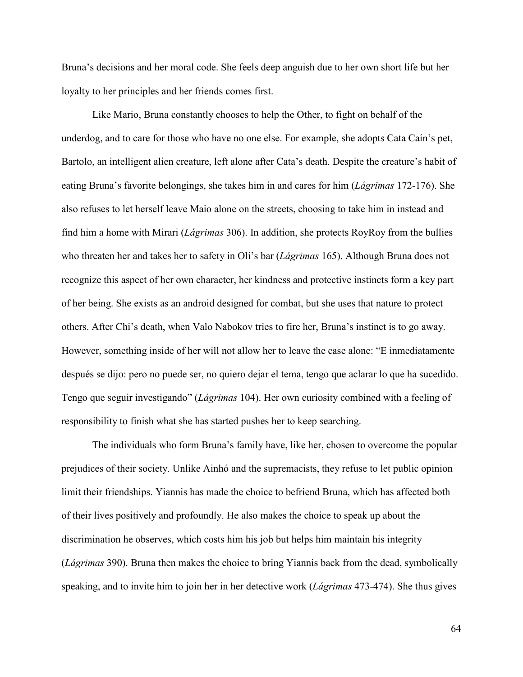Bruna's decisions and her moral code. She feels deep anguish due to her own short life but her loyalty to her principles and her friends comes first.

Like Mario, Bruna constantly chooses to help the Other, to fight on behalf of the underdog, and to care for those who have no one else. For example, she adopts Cata Caín's pet, Bartolo, an intelligent alien creature, left alone after Cata's death. Despite the creature's habit of eating Bruna's favorite belongings, she takes him in and cares for him (*Lágrimas* 172-176). She also refuses to let herself leave Maio alone on the streets, choosing to take him in instead and find him a home with Mirari (*Lágrimas* 306). In addition, she protects RoyRoy from the bullies who threaten her and takes her to safety in Oli's bar (*Lágrimas* 165). Although Bruna does not recognize this aspect of her own character, her kindness and protective instincts form a key part of her being. She exists as an android designed for combat, but she uses that nature to protect others. After Chi's death, when Valo Nabokov tries to fire her, Bruna's instinct is to go away. However, something inside of her will not allow her to leave the case alone: "E inmediatamente después se dijo: pero no puede ser, no quiero dejar el tema, tengo que aclarar lo que ha sucedido. Tengo que seguir investigando" (*Lágrimas* 104). Her own curiosity combined with a feeling of responsibility to finish what she has started pushes her to keep searching.

The individuals who form Bruna's family have, like her, chosen to overcome the popular prejudices of their society. Unlike Ainhó and the supremacists, they refuse to let public opinion limit their friendships. Yiannis has made the choice to befriend Bruna, which has affected both of their lives positively and profoundly. He also makes the choice to speak up about the discrimination he observes, which costs him his job but helps him maintain his integrity (*Lágrimas* 390). Bruna then makes the choice to bring Yiannis back from the dead, symbolically speaking, and to invite him to join her in her detective work (*Lágrimas* 473-474). She thus gives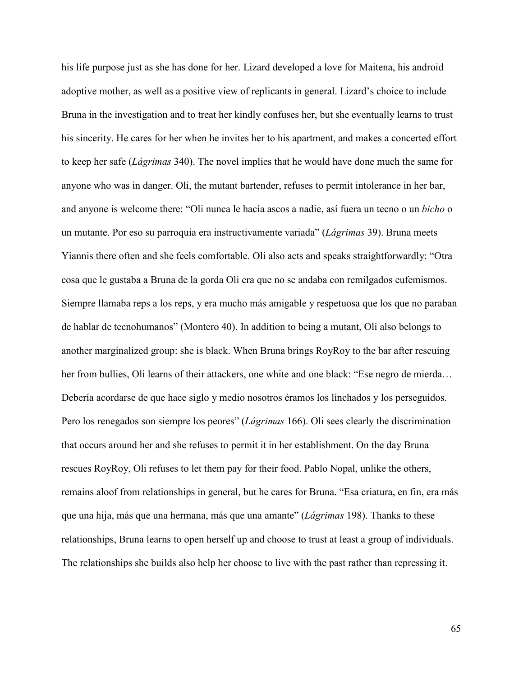his life purpose just as she has done for her. Lizard developed a love for Maitena, his android adoptive mother, as well as a positive view of replicants in general. Lizard's choice to include Bruna in the investigation and to treat her kindly confuses her, but she eventually learns to trust his sincerity. He cares for her when he invites her to his apartment, and makes a concerted effort to keep her safe (*Lágrimas* 340). The novel implies that he would have done much the same for anyone who was in danger. Oli, the mutant bartender, refuses to permit intolerance in her bar, and anyone is welcome there: "Oli nunca le hacía ascos a nadie, así fuera un tecno o un *bicho* o un mutante. Por eso su parroquia era instructivamente variada" (*Lágrimas* 39). Bruna meets Yiannis there often and she feels comfortable. Oli also acts and speaks straightforwardly: "Otra cosa que le gustaba a Bruna de la gorda Oli era que no se andaba con remilgados eufemismos. Siempre llamaba reps a los reps, y era mucho más amigable y respetuosa que los que no paraban de hablar de tecnohumanos" (Montero 40). In addition to being a mutant, Oli also belongs to another marginalized group: she is black. When Bruna brings RoyRoy to the bar after rescuing her from bullies, Oli learns of their attackers, one white and one black: "Ese negro de mierda... Debería acordarse de que hace siglo y medio nosotros éramos los linchados y los perseguidos. Pero los renegados son siempre los peores" (*Lágrimas* 166). Oli sees clearly the discrimination that occurs around her and she refuses to permit it in her establishment. On the day Bruna rescues RoyRoy, Oli refuses to let them pay for their food. Pablo Nopal, unlike the others, remains aloof from relationships in general, but he cares for Bruna. "Esa criatura, en fin, era más que una hija, más que una hermana, más que una amante" (*Lágrimas* 198). Thanks to these relationships, Bruna learns to open herself up and choose to trust at least a group of individuals. The relationships she builds also help her choose to live with the past rather than repressing it.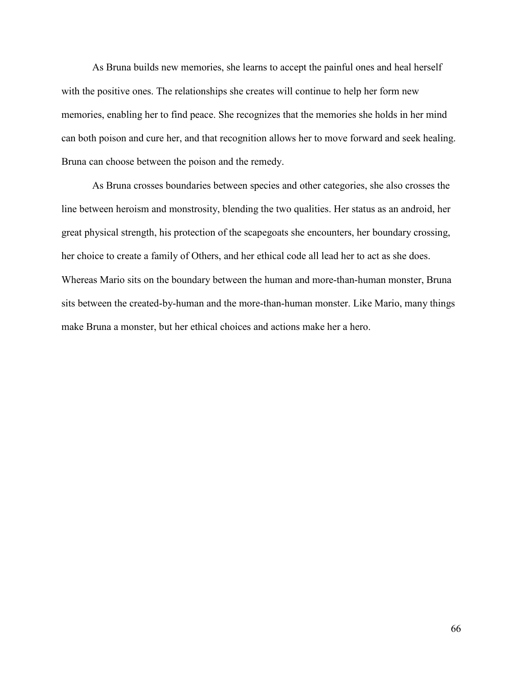As Bruna builds new memories, she learns to accept the painful ones and heal herself with the positive ones. The relationships she creates will continue to help her form new memories, enabling her to find peace. She recognizes that the memories she holds in her mind can both poison and cure her, and that recognition allows her to move forward and seek healing. Bruna can choose between the poison and the remedy.

As Bruna crosses boundaries between species and other categories, she also crosses the line between heroism and monstrosity, blending the two qualities. Her status as an android, her great physical strength, his protection of the scapegoats she encounters, her boundary crossing, her choice to create a family of Others, and her ethical code all lead her to act as she does. Whereas Mario sits on the boundary between the human and more-than-human monster, Bruna sits between the created-by-human and the more-than-human monster. Like Mario, many things make Bruna a monster, but her ethical choices and actions make her a hero.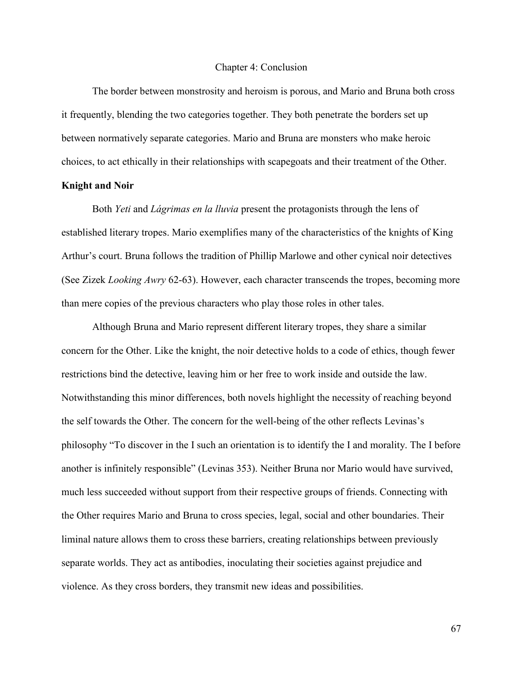#### Chapter 4: Conclusion

The border between monstrosity and heroism is porous, and Mario and Bruna both cross it frequently, blending the two categories together. They both penetrate the borders set up between normatively separate categories. Mario and Bruna are monsters who make heroic choices, to act ethically in their relationships with scapegoats and their treatment of the Other.

# **Knight and Noir**

Both *Yeti* and *Lágrimas en la lluvia* present the protagonists through the lens of established literary tropes. Mario exemplifies many of the characteristics of the knights of King Arthur's court. Bruna follows the tradition of Phillip Marlowe and other cynical noir detectives (See Zizek *Looking Awry* 62-63). However, each character transcends the tropes, becoming more than mere copies of the previous characters who play those roles in other tales.

Although Bruna and Mario represent different literary tropes, they share a similar concern for the Other. Like the knight, the noir detective holds to a code of ethics, though fewer restrictions bind the detective, leaving him or her free to work inside and outside the law. Notwithstanding this minor differences, both novels highlight the necessity of reaching beyond the self towards the Other. The concern for the well-being of the other reflects Levinas's philosophy "To discover in the I such an orientation is to identify the I and morality. The I before another is infinitely responsible" (Levinas 353). Neither Bruna nor Mario would have survived, much less succeeded without support from their respective groups of friends. Connecting with the Other requires Mario and Bruna to cross species, legal, social and other boundaries. Their liminal nature allows them to cross these barriers, creating relationships between previously separate worlds. They act as antibodies, inoculating their societies against prejudice and violence. As they cross borders, they transmit new ideas and possibilities.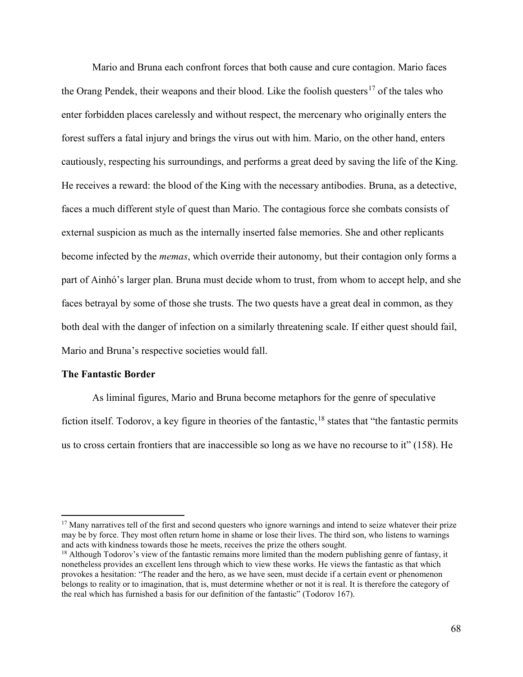Mario and Bruna each confront forces that both cause and cure contagion. Mario faces the Orang Pendek, their weapons and their blood. Like the foolish questers<sup>[17](#page-71-0)</sup> of the tales who enter forbidden places carelessly and without respect, the mercenary who originally enters the forest suffers a fatal injury and brings the virus out with him. Mario, on the other hand, enters cautiously, respecting his surroundings, and performs a great deed by saving the life of the King. He receives a reward: the blood of the King with the necessary antibodies. Bruna, as a detective, faces a much different style of quest than Mario. The contagious force she combats consists of external suspicion as much as the internally inserted false memories. She and other replicants become infected by the *memas*, which override their autonomy, but their contagion only forms a part of Ainhó's larger plan. Bruna must decide whom to trust, from whom to accept help, and she faces betrayal by some of those she trusts. The two quests have a great deal in common, as they both deal with the danger of infection on a similarly threatening scale. If either quest should fail, Mario and Bruna's respective societies would fall.

### **The Fantastic Border**

 $\overline{\phantom{a}}$ 

As liminal figures, Mario and Bruna become metaphors for the genre of speculative fiction itself. Todorov, a key figure in theories of the fantastic, <sup>[18](#page-71-1)</sup> states that "the fantastic permits" us to cross certain frontiers that are inaccessible so long as we have no recourse to it" (158). He

<span id="page-71-0"></span> $17$  Many narratives tell of the first and second questers who ignore warnings and intend to seize whatever their prize may be by force. They most often return home in shame or lose their lives. The third son, who listens to warnings and acts with kindness towards those he meets, receives the prize the others sought.<br><sup>18</sup> Although Todorov's view of the fantastic remains more limited than the modern publishing genre of fantasy, it

<span id="page-71-1"></span>nonetheless provides an excellent lens through which to view these works. He views the fantastic as that which provokes a hesitation: "The reader and the hero, as we have seen, must decide if a certain event or phenomenon belongs to reality or to imagination, that is, must determine whether or not it is real. It is therefore the category of the real which has furnished a basis for our definition of the fantastic" (Todorov 167).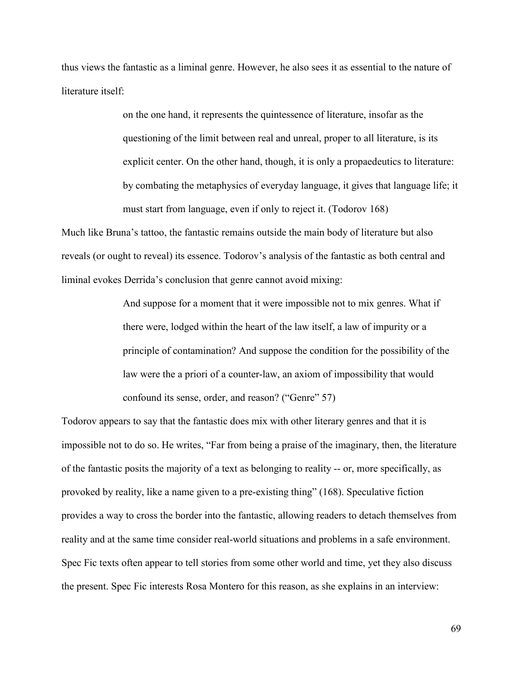thus views the fantastic as a liminal genre. However, he also sees it as essential to the nature of literature itself:

> on the one hand, it represents the quintessence of literature, insofar as the questioning of the limit between real and unreal, proper to all literature, is its explicit center. On the other hand, though, it is only a propaedeutics to literature: by combating the metaphysics of everyday language, it gives that language life; it must start from language, even if only to reject it. (Todorov 168)

Much like Bruna's tattoo, the fantastic remains outside the main body of literature but also reveals (or ought to reveal) its essence. Todorov's analysis of the fantastic as both central and liminal evokes Derrida's conclusion that genre cannot avoid mixing:

> And suppose for a moment that it were impossible not to mix genres. What if there were, lodged within the heart of the law itself, a law of impurity or a principle of contamination? And suppose the condition for the possibility of the law were the a priori of a counter-law, an axiom of impossibility that would confound its sense, order, and reason? ("Genre" 57)

Todorov appears to say that the fantastic does mix with other literary genres and that it is impossible not to do so. He writes, "Far from being a praise of the imaginary, then, the literature of the fantastic posits the majority of a text as belonging to reality -- or, more specifically, as provoked by reality, like a name given to a pre-existing thing" (168). Speculative fiction provides a way to cross the border into the fantastic, allowing readers to detach themselves from reality and at the same time consider real-world situations and problems in a safe environment. Spec Fic texts often appear to tell stories from some other world and time, yet they also discuss the present. Spec Fic interests Rosa Montero for this reason, as she explains in an interview:

69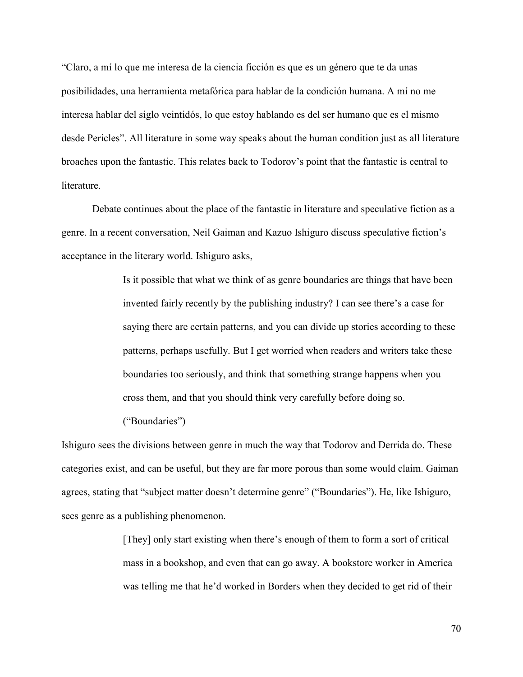"Claro, a mí lo que me interesa de la ciencia ficción es que es un género que te da unas posibilidades, una herramienta metafórica para hablar de la condición humana. A mí no me interesa hablar del siglo veintidós, lo que estoy hablando es del ser humano que es el mismo desde Pericles". All literature in some way speaks about the human condition just as all literature broaches upon the fantastic. This relates back to Todorov's point that the fantastic is central to literature.

Debate continues about the place of the fantastic in literature and speculative fiction as a genre. In a recent conversation, Neil Gaiman and Kazuo Ishiguro discuss speculative fiction's acceptance in the literary world. Ishiguro asks,

> Is it possible that what we think of as genre boundaries are things that have been invented fairly recently by the publishing industry? I can see there's a case for saying there are certain patterns, and you can divide up stories according to these patterns, perhaps usefully. But I get worried when readers and writers take these boundaries too seriously, and think that something strange happens when you cross them, and that you should think very carefully before doing so.

("Boundaries")

Ishiguro sees the divisions between genre in much the way that Todorov and Derrida do. These categories exist, and can be useful, but they are far more porous than some would claim. Gaiman agrees, stating that "subject matter doesn't determine genre" ("Boundaries"). He, like Ishiguro, sees genre as a publishing phenomenon.

> [They] only start existing when there's enough of them to form a sort of critical mass in a bookshop, and even that can go away. A bookstore worker in America was telling me that he'd worked in Borders when they decided to get rid of their

> > 70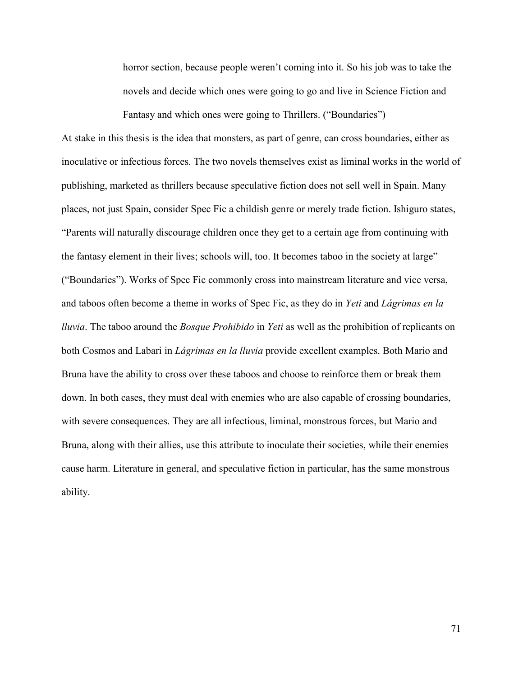horror section, because people weren't coming into it. So his job was to take the novels and decide which ones were going to go and live in Science Fiction and Fantasy and which ones were going to Thrillers. ("Boundaries")

At stake in this thesis is the idea that monsters, as part of genre, can cross boundaries, either as inoculative or infectious forces. The two novels themselves exist as liminal works in the world of publishing, marketed as thrillers because speculative fiction does not sell well in Spain. Many places, not just Spain, consider Spec Fic a childish genre or merely trade fiction. Ishiguro states, "Parents will naturally discourage children once they get to a certain age from continuing with the fantasy element in their lives; schools will, too. It becomes taboo in the society at large" ("Boundaries"). Works of Spec Fic commonly cross into mainstream literature and vice versa, and taboos often become a theme in works of Spec Fic, as they do in *Yeti* and *Lágrimas en la lluvia*. The taboo around the *Bosque Prohibido* in *Yeti* as well as the prohibition of replicants on both Cosmos and Labari in *Lágrimas en la lluvia* provide excellent examples. Both Mario and Bruna have the ability to cross over these taboos and choose to reinforce them or break them down. In both cases, they must deal with enemies who are also capable of crossing boundaries, with severe consequences. They are all infectious, liminal, monstrous forces, but Mario and Bruna, along with their allies, use this attribute to inoculate their societies, while their enemies cause harm. Literature in general, and speculative fiction in particular, has the same monstrous ability.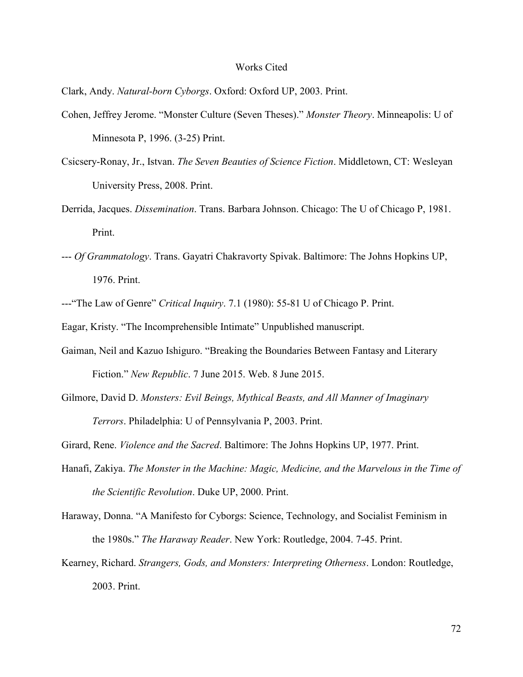## Works Cited

Clark, Andy. *Natural-born Cyborgs*. Oxford: Oxford UP, 2003. Print.

- Cohen, Jeffrey Jerome. "Monster Culture (Seven Theses)." *Monster Theory*. Minneapolis: U of Minnesota P, 1996. (3-25) Print.
- Csicsery-Ronay, Jr., Istvan. *The Seven Beauties of Science Fiction*. Middletown, CT: Wesleyan University Press, 2008. Print.

Derrida, Jacques. *Dissemination*. Trans. Barbara Johnson. Chicago: The U of Chicago P, 1981. Print.

--- *Of Grammatology*. Trans. Gayatri Chakravorty Spivak. Baltimore: The Johns Hopkins UP, 1976. Print.

---"The Law of Genre" *Critical Inquiry*. 7.1 (1980): 55-81 U of Chicago P. Print.

Eagar, Kristy. "The Incomprehensible Intimate" Unpublished manuscript.

- Gaiman, Neil and Kazuo Ishiguro. "Breaking the Boundaries Between Fantasy and Literary Fiction." *New Republic*. 7 June 2015. Web. 8 June 2015.
- Gilmore, David D. *Monsters: Evil Beings, Mythical Beasts, and All Manner of Imaginary Terrors*. Philadelphia: U of Pennsylvania P, 2003. Print.

Girard, Rene. *Violence and the Sacred*. Baltimore: The Johns Hopkins UP, 1977. Print.

- Hanafi, Zakiya. *The Monster in the Machine: Magic, Medicine, and the Marvelous in the Time of the Scientific Revolution*. Duke UP, 2000. Print.
- Haraway, Donna. "A Manifesto for Cyborgs: Science, Technology, and Socialist Feminism in the 1980s." *The Haraway Reader*. New York: Routledge, 2004. 7-45. Print.
- Kearney, Richard. *Strangers, Gods, and Monsters: Interpreting Otherness*. London: Routledge, 2003. Print.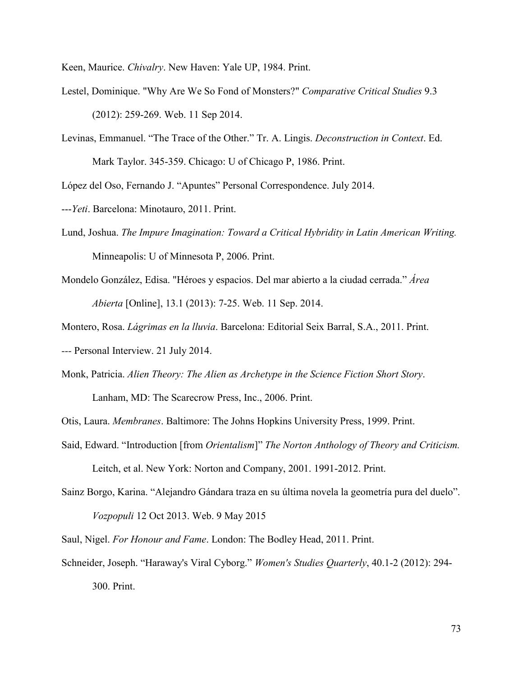Keen, Maurice. *Chivalry*. New Haven: Yale UP, 1984. Print.

- Lestel, Dominique. "Why Are We So Fond of Monsters?" *Comparative Critical Studies* 9.3 (2012): 259-269. Web. 11 Sep 2014.
- Levinas, Emmanuel. "The Trace of the Other." Tr. A. Lingis. *Deconstruction in Context*. Ed. Mark Taylor. 345-359. Chicago: U of Chicago P, 1986. Print.

López del Oso, Fernando J. "Apuntes" Personal Correspondence. July 2014.

- ---*Yeti*. Barcelona: Minotauro, 2011. Print.
- Lund, Joshua. *The Impure Imagination: Toward a Critical Hybridity in Latin American Writing.* Minneapolis: U of Minnesota P, 2006. Print.
- Mondelo González, Edisa. "Héroes y espacios. Del mar abierto a la ciudad cerrada." *Área Abierta* [Online], 13.1 (2013): 7-25. Web. 11 Sep. 2014.

Montero, Rosa. *Lágrimas en la lluvia*. Barcelona: Editorial Seix Barral, S.A., 2011. Print.

- *---* Personal Interview. 21 July 2014.
- Monk, Patricia. *Alien Theory: The Alien as Archetype in the Science Fiction Short Story*. Lanham, MD: The Scarecrow Press, Inc., 2006. Print.

Otis, Laura. *Membranes*. Baltimore: The Johns Hopkins University Press, 1999. Print.

Said, Edward. "Introduction [from *Orientalism*]" *The Norton Anthology of Theory and Criticism.* Leitch, et al. New York: Norton and Company, 2001. 1991-2012. Print.

Sainz Borgo, Karina. "Alejandro Gándara traza en su última novela la geometría pura del duelo". *Vozpopuli* 12 Oct 2013. Web. 9 May 2015

Saul, Nigel. *For Honour and Fame*. London: The Bodley Head, 2011. Print.

Schneider, Joseph. "Haraway's Viral Cyborg." *Women's Studies Quarterly*, 40.1-2 (2012): 294- 300. Print.